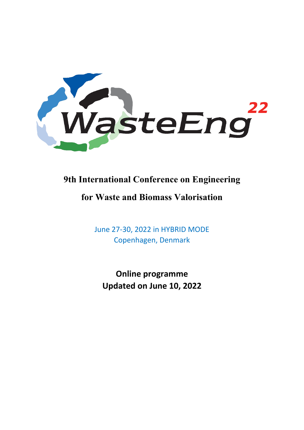

# **9th International Conference on Engineering**

# **for Waste and Biomass Valorisation**

June 27-30, 2022 in HYBRID MODE Copenhagen, Denmark

**Online programme Updated on June 10, 2022**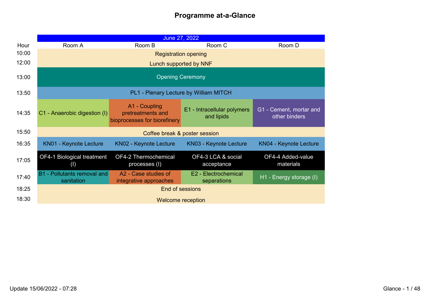|       |                                                  | June 27, 2022                                                      |                                           |                                          |
|-------|--------------------------------------------------|--------------------------------------------------------------------|-------------------------------------------|------------------------------------------|
| Hour  | Room A                                           | Room B                                                             | Room C                                    | Room D                                   |
| 10:00 |                                                  | <b>Registration opening</b>                                        |                                           |                                          |
| 12:00 |                                                  | Lunch supported by NNF                                             |                                           |                                          |
| 13:00 | <b>Opening Ceremony</b>                          |                                                                    |                                           |                                          |
| 13:50 |                                                  | PL1 - Plenary Lecture by William MITCH                             |                                           |                                          |
| 14:35 | C1 - Anaerobic digestion (I)                     | A1 - Coupling<br>pretreatments and<br>bioprocesses for biorefinery | E1 - Intracellular polymers<br>and lipids | G1 - Cement, mortar and<br>other binders |
| 15:50 | Coffee break & poster session                    |                                                                    |                                           |                                          |
| 16:35 | <b>KN01 - Keynote Lecture</b>                    | <b>KN02 - Keynote Lecture</b>                                      | <b>KN03 - Keynote Lecture</b>             | <b>KN04 - Keynote Lecture</b>            |
| 17:05 | OF4-1 Biological treatment<br>(1)                | OF4-2 Thermochemical<br>processes (I)                              | OF4-3 LCA & social<br>acceptance          | OF4-4 Added-value<br>materials           |
| 17:40 | <b>B1</b> - Pollutants removal and<br>sanitation | A2 - Case studies of<br>integrative approaches                     | E2 - Electrochemical<br>separations       | H1 - Energy storage (I)                  |
| 18:25 |                                                  |                                                                    | End of sessions                           |                                          |
| 18:30 |                                                  |                                                                    | <b>Welcome reception</b>                  |                                          |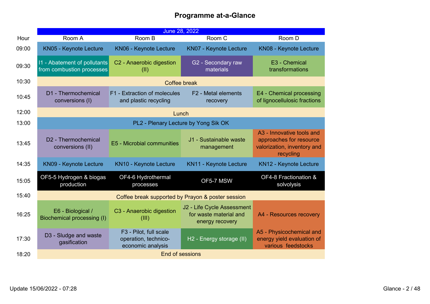|       |                                                           | June 28, 2022                                                       |                                                                         |                                                                                                  |
|-------|-----------------------------------------------------------|---------------------------------------------------------------------|-------------------------------------------------------------------------|--------------------------------------------------------------------------------------------------|
| Hour  | Room A                                                    | Room B                                                              | Room C                                                                  | Room D                                                                                           |
| 09:00 | <b>KN05 - Keynote Lecture</b>                             | KN06 - Keynote Lecture                                              | <b>KN07 - Keynote Lecture</b>                                           | KN08 - Keynote Lecture                                                                           |
| 09:30 | 11 - Abatement of pollutants<br>from combustion processes | C2 - Anaerobic digestion<br>(II)                                    | G2 - Secondary raw<br>materials                                         | E3 - Chemical<br>transformations                                                                 |
| 10:30 |                                                           | <b>Coffee break</b>                                                 |                                                                         |                                                                                                  |
| 10:45 | D1 - Thermochemical<br>conversions (I)                    | F1 - Extraction of molecules<br>and plastic recycling               | F <sub>2</sub> - Metal elements<br>recovery                             | E4 - Chemical processing<br>of lignocellulosic fractions                                         |
| 12:00 |                                                           | Lunch                                                               |                                                                         |                                                                                                  |
| 13:00 |                                                           | PL2 - Plenary Lecture by Yong Sik OK                                |                                                                         |                                                                                                  |
| 13:45 | D <sub>2</sub> - Thermochemical<br>conversions (II)       | E5 - Microbial communities                                          | J1 - Sustainable waste<br>management                                    | A3 - Innovative tools and<br>approaches for resource<br>valorization, inventory and<br>recycling |
| 14:35 | <b>KN09 - Keynote Lecture</b>                             | <b>KN10 - Keynote Lecture</b>                                       | <b>KN11 - Keynote Lecture</b>                                           | <b>KN12 - Keynote Lecture</b>                                                                    |
| 15:05 | OF5-5 Hydrogen & biogas<br>production                     | OF4-6 Hydrothermal<br>processes                                     | OF5-7 MSW                                                               | OF4-8 Fractionation &<br>solvolysis                                                              |
| 15:40 | Coffee break supported by Prayon & poster session         |                                                                     |                                                                         |                                                                                                  |
| 16:25 | E6 - Biological /<br>Biochemical processing (I)           | C3 - Anaerobic digestion<br>(III)                                   | J2 - Life Cycle Assessment<br>for waste material and<br>energy recovery | A4 - Resources recovery                                                                          |
| 17:30 | D3 - Sludge and waste<br>gasification                     | F3 - Pilot, full scale<br>operation, technico-<br>economic analysis | H2 - Energy storage (II)                                                | A5 - Physicochemical and<br>energy yield evaluation of<br>various feedstocks                     |
| 18:20 | End of sessions                                           |                                                                     |                                                                         |                                                                                                  |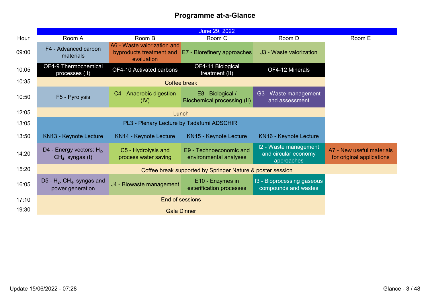|       |                                                               |                                                                       | June 29, 2022                                     |                                                             |                                                        |
|-------|---------------------------------------------------------------|-----------------------------------------------------------------------|---------------------------------------------------|-------------------------------------------------------------|--------------------------------------------------------|
| Hour  | Room A                                                        | Room B                                                                | Room C                                            | Room D                                                      | Room E                                                 |
| 09:00 | F4 - Advanced carbon<br>materials                             | A6 - Waste valorization and<br>byproducts treatment and<br>evaluation | <b>E7</b> - Biorefinery approaches                | J3 - Waste valorization                                     |                                                        |
| 10:05 | OF4-9 Thermochemical<br>processes (II)                        | OF4-10 Activated carbons                                              | OF4-11 Biological<br>treatment (II)               | OF4-12 Minerals                                             |                                                        |
| 10:35 |                                                               |                                                                       | Coffee break                                      |                                                             |                                                        |
| 10:50 | F5 - Pyrolysis                                                | C4 - Anaerobic digestion<br>(IV)                                      | E8 - Biological /<br>Biochemical processing (II)  | G3 - Waste management<br>and assessment                     |                                                        |
| 12:05 |                                                               | Lunch                                                                 |                                                   |                                                             |                                                        |
| 13:05 | PL3 - Plenary Lecture by Tadafumi ADSCHIRI                    |                                                                       |                                                   |                                                             |                                                        |
| 13:50 | <b>KN13 - Keynote Lecture</b>                                 | KN14 - Keynote Lecture                                                | KN15 - Keynote Lecture                            | KN16 - Keynote Lecture                                      |                                                        |
| 14:20 | D4 - Energy vectors: $H_2$ ,<br>$CH4$ , syngas (I)            | C5 - Hydrolysis and<br>process water saving                           | E9 - Technoeconomic and<br>environmental analyses | 12 - Waste management<br>and circular economy<br>approaches | A7 - New useful materials<br>for original applications |
| 15:20 | Coffee break supported by Springer Nature & poster session    |                                                                       |                                                   |                                                             |                                                        |
| 16:05 | D5 - $H_2$ , CH <sub>4</sub> , syngas and<br>power generation | J4 - Biowaste management                                              | E10 - Enzymes in<br>esterification processes      | 13 - Bioprocessing gaseous<br>compounds and wastes          |                                                        |
| 17:10 | <b>End of sessions</b>                                        |                                                                       |                                                   |                                                             |                                                        |
| 19:30 | <b>Gala Dinner</b>                                            |                                                                       |                                                   |                                                             |                                                        |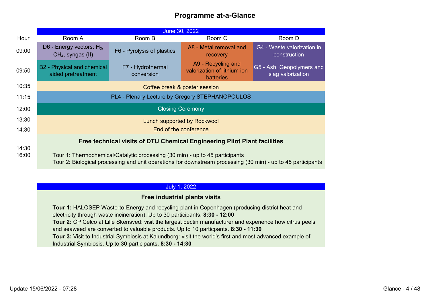|       |                                                                                                                                                                                              |                                                                          | June 30, 2022                                                         |                                                |
|-------|----------------------------------------------------------------------------------------------------------------------------------------------------------------------------------------------|--------------------------------------------------------------------------|-----------------------------------------------------------------------|------------------------------------------------|
| Hour  | Room A                                                                                                                                                                                       | Room B                                                                   | Room C                                                                | Room D                                         |
| 09:00 | D6 - Energy vectors: $H_2$ ,<br>$CH4$ , syngas (II)                                                                                                                                          | F6 - Pyrolysis of plastics                                               | A8 - Metal removal and<br>recovery                                    | G4 - Waste valorization in<br>construction     |
| 09:50 | B2 - Physical and chemical<br>aided pretreatment                                                                                                                                             | F7 - Hydrothermal<br>conversion                                          | A9 - Recycling and<br>valorization of lithium ion<br><b>batteries</b> | G5 - Ash, Geopolymers and<br>slag valorization |
| 10:35 | Coffee break & poster session                                                                                                                                                                |                                                                          |                                                                       |                                                |
| 11:15 | PL4 - Plenary Lecture by Gregory STEPHANOPOULOS                                                                                                                                              |                                                                          |                                                                       |                                                |
| 12:00 | <b>Closing Ceremony</b>                                                                                                                                                                      |                                                                          |                                                                       |                                                |
| 13:30 | Lunch supported by Rockwool                                                                                                                                                                  |                                                                          |                                                                       |                                                |
| 14:30 | End of the conference                                                                                                                                                                        |                                                                          |                                                                       |                                                |
|       |                                                                                                                                                                                              | Free technical visits of DTU Chemical Engineering Pilot Plant facilities |                                                                       |                                                |
| 14:30 |                                                                                                                                                                                              |                                                                          |                                                                       |                                                |
| 16:00 | Tour 1: Thermochemical/Catalytic processing (30 min) - up to 45 participants<br>Tour 2: Biological processing and unit operations for downstream processing (30 min) - up to 45 participants |                                                                          |                                                                       |                                                |

#### July 1, 2022

#### **Free industrial plants visits**

**Tour 1:** HALOSEP Waste-to-Energy and recycling plant in Copenhagen (producing district heat and electricity through waste incineration). Up to 30 participants. **8:30 - 12:00 Tour 2:** CP Celco at Lille Skensved: visit the largest pectin manufacturer and experience how citrus peels and seaweed are converted to valuable products. Up to 10 particpants. **8:30 - 11:30 Tour 3:** Visit to Industrial Symbiosis at Kalundborg: visit the world's first and most advanced example of Industrial Symbiosis. Up to 30 participants. **8:30 - 14:30**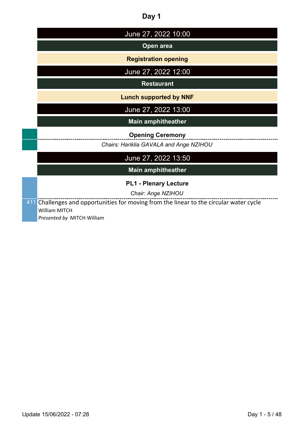| ٠<br>٠<br>$\sim$ |  |
|------------------|--|
|------------------|--|

| June 27, 2022 10:00                                                                     |
|-----------------------------------------------------------------------------------------|
| Open area                                                                               |
| <b>Registration opening</b>                                                             |
| June 27, 2022 12:00                                                                     |
| <b>Restaurant</b>                                                                       |
| <b>Lunch supported by NNF</b>                                                           |
| June 27, 2022 13:00                                                                     |
| <b>Main amphitheather</b>                                                               |
| <b>Opening Ceremony</b>                                                                 |
| Chairs: Hariklia GAVALA and Ange NZIHOU                                                 |
| June 27, 2022 13:50                                                                     |
| <b>Main amphitheather</b>                                                               |
| <b>PL1 - Plenary Lecture</b>                                                            |
| Chair: Ange NZIHOU                                                                      |
| 411 Challenges and opportunities for moving from the linear to the circular water cycle |
| William MITCH                                                                           |
| Presented by MITCH William                                                              |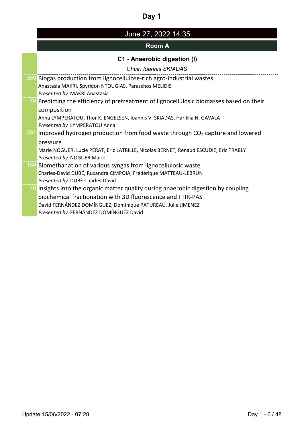# June 27, 2022 14:35

## **Room A**

# **C1 - Anaerobic digestion (I)**

*Chair: Ioannis SKIADAS*

| 359 Biogas production from lignocellulose-rich agro-industrial wastes                    |
|------------------------------------------------------------------------------------------|
| Anastasia MAKRI, Spyridon NTOUGIAS, Paraschos MELIDIS                                    |
| Presented by MAKRI Anastasia                                                             |
| 70 Predicting the efficiency of pretreatment of lignocellulosic biomasses based on their |
| composition                                                                              |
| Anna LYMPERATOU, Thor K. ENGELSEN, Ioannis V. SKIADAS, Hariklia N. GAVALA                |
| Presented by LYMPERATOU Anna                                                             |
| 281 Improved hydrogen production from food waste through $CO2$ capture and lowered       |
| pressure                                                                                 |
| Marie NOGUER, Lucie PERAT, Eric LATRILLE, Nicolas BERNET, Renaud ESCUDIE, Eric TRABLY    |
| Presented by NOGUER Marie                                                                |
| 150 Biomethanation of various syngas from lignocellulosic waste                          |
| Charles-David DUBÉ, Ruxandra CIMPOIA, Frédérique MATTEAU-LEBRUN                          |
| Presented by DUBÉ Charles-David                                                          |
| 48 Insights into the organic matter quality during anaerobic digestion by coupling       |
| biochemical fractionation with 3D fluorescence and FTIR-PAS                              |
| David FERNÁNDEZ DOMÍNGUEZ, Dominique PATUREAU, Julie JIMENEZ                             |
| Presented by FERNÁNDEZ DOMÍNGUEZ David                                                   |
|                                                                                          |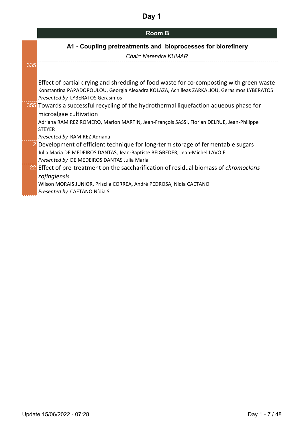| <b>Room B</b> |  |
|---------------|--|
|---------------|--|

## **A1 - Coupling pretreatments and bioprocesses for biorefinery**

| <b>Chair: Narendra KUMAR</b> |  |
|------------------------------|--|
|------------------------------|--|

| 335 |                                                                                               |
|-----|-----------------------------------------------------------------------------------------------|
|     |                                                                                               |
|     | Effect of partial drying and shredding of food waste for co-composting with green waste       |
|     | Konstantina PAPADOPOULOU, Georgia Alexadra KOLAZA, Achilleas ZARKALIOU, Gerasimos LYBERATOS   |
|     | Presented by LYBERATOS Gerasimos                                                              |
|     | 355 Towards a successful recycling of the hydrothermal liquefaction aqueous phase for         |
|     | microalgae cultivation                                                                        |
|     | Adriana RAMIREZ ROMERO, Marion MARTIN, Jean-François SASSI, Florian DELRUE, Jean-Philippe     |
|     | <b>STEYER</b>                                                                                 |
|     | Presented by RAMIREZ Adriana                                                                  |
|     | 2 Development of efficient technique for long-term storage of fermentable sugars              |
|     | Julia Maria DE MEDEIROS DANTAS, Jean-Baptiste BEIGBEDER, Jean-Michel LAVOIE                   |
|     | Presented by DE MEDEIROS DANTAS Julia Maria                                                   |
|     | 22 Effect of pre-treatment on the saccharification of residual biomass of <i>chromocloris</i> |
|     | zofingiensis                                                                                  |
|     | Wilson MORAIS JUNIOR, Priscila CORREA, André PEDROSA, Nídia CAETANO                           |
|     | Presented by CAETANO Nídia S.                                                                 |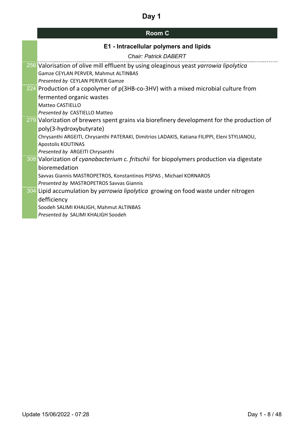| <b>Room C</b> |  |
|---------------|--|
|---------------|--|

| E1 - Intracellular polymers and lipids                                                        |
|-----------------------------------------------------------------------------------------------|
| <b>Chair: Patrick DABERT</b>                                                                  |
| 256 Valorisation of olive mill effluent by using oleaginous yeast yarrowia lipolytica         |
| Gamze CEYLAN PERVER, Mahmut ALTINBAS                                                          |
| Presented by CEYLAN PERVER Gamze                                                              |
| 224 Production of a copolymer of p(3HB-co-3HV) with a mixed microbial culture from            |
| fermented organic wastes                                                                      |
| <b>Matteo CASTIELLO</b>                                                                       |
| Presented by CASTIELLO Matteo                                                                 |
| 279 Valorization of brewers spent grains via biorefinery development for the production of    |
| poly(3-hydroxybutyrate)                                                                       |
| Chrysanthi ARGEITI, Chrysanthi PATERAKI, Dimitrios LADAKIS, Katiana FILIPPI, Eleni STYLIANOU, |
| Apostolis KOUTINAS                                                                            |
| Presented by ARGEITI Chrysanthi                                                               |
| 308 Valorization of cyanobacterium c. fritschii for biopolymers production via digestate      |
| bioremedation                                                                                 |
| Savvas Giannis MASTROPETROS, Konstantinos PISPAS, Michael KORNAROS                            |
| Presented by MASTROPETROS Savvas Giannis                                                      |
| 304 Lipid accumulation by yarrowia lipolytica growing on food waste under nitrogen            |
| defficiency                                                                                   |
| Soodeh SALIMI KHALIGH, Mahmut ALTINBAS                                                        |
| Presented by SALIMI KHALIGH Soodeh                                                            |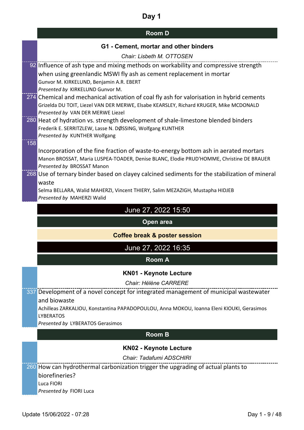## **Room D**

### **G1 - Cement, mortar and other binders**

|     | <u>VUNUSIN MUULU UNU VUIVI DIN</u>                                                                     |
|-----|--------------------------------------------------------------------------------------------------------|
|     | Chair: Lisbeth M. OTTOSEN                                                                              |
|     | 92 Influence of ash type and mixing methods on workability and compressive strength                    |
|     | when using greenlandic MSWI fly ash as cement replacement in mortar                                    |
|     | Gunvor M. KIRKELUND, Benjamin A.R. EBERT                                                               |
|     | Presented by KIRKELUND Gunvor M.                                                                       |
|     | $\overline{274}$ Chemical and mechanical activation of coal fly ash for valorisation in hybrid cements |
|     | Grizelda DU TOIT, Liezel VAN DER MERWE, Elsabe KEARSLEY, Richard KRUGER, Mike MCDONALD                 |
|     | Presented by VAN DER MERWE Liezel                                                                      |
|     | 280 Heat of hydration vs. strength development of shale-limestone blended binders                      |
|     | Frederik E. SERRITZLEW, Lasse N. DØSSING, Wolfgang KUNTHER<br>Presented by KUNTHER Wolfgang            |
| 158 |                                                                                                        |
|     | Incorporation of the fine fraction of waste-to-energy bottom ash in aerated mortars                    |
|     | Manon BROSSAT, Maria LUSPEA-TOADER, Denise BLANC, Elodie PRUD'HOMME, Christine DE BRAUER               |
|     | Presented by BROSSAT Manon                                                                             |
|     | 268 Use of ternary binder based on clayey calcined sediments for the stabilization of mineral          |
|     | waste                                                                                                  |
|     | Selma BELLARA, Walid MAHERZI, Vincent THIERY, Salim MEZAZIGH, Mustapha HIDJEB                          |
|     | Presented by MAHERZI Walid                                                                             |
|     | June 27, 2022 15:50                                                                                    |
|     | Open area                                                                                              |
|     | <b>Coffee break &amp; poster session</b>                                                               |
|     | June 27, 2022 16:35                                                                                    |
|     | <b>Room A</b>                                                                                          |
|     | <b>KN01 - Keynote Lecture</b>                                                                          |
|     | Chair: Hélène CARRERE                                                                                  |
|     | 337 Development of a novel concept for integrated management of municipal wastewater                   |
|     | and biowaste                                                                                           |
|     | Achilleas ZARKALIOU, Konstantina PAPADOPOULOU, Anna MOKOU, Ioanna Eleni KIOUKI, Gerasimos              |
|     | <b>LYBERATOS</b>                                                                                       |
|     | Presented by LYBERATOS Gerasimos                                                                       |
|     | <b>Room B</b>                                                                                          |
|     | <b>KN02 - Keynote Lecture</b>                                                                          |
|     | Chair: Tadafumi ADSCHIRI                                                                               |
|     | 260 How can hydrothermal carbonization trigger the upgrading of actual plants to                       |
|     |                                                                                                        |

biorefineries? Luca FIORI *Presented by* FIORI Luca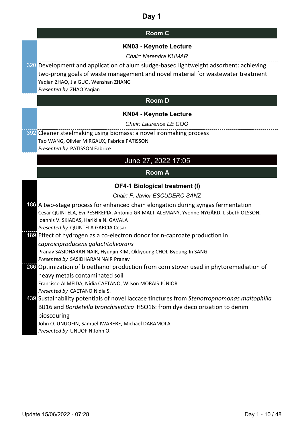| <b>Room C</b> |  |
|---------------|--|
|---------------|--|

#### **KN03 - Keynote Lecture**

*Chair: Narendra KUMAR*

320 Development and application of alum sludge-based lightweight adsorbent: achieving two-prong goals of waste management and novel material for wastewater treatment Yaqian ZHAO, Jia GUO, Wenshan ZHANG

*Presented by* ZHAO Yaqian

#### **Room D**

#### **KN04 - Keynote Lecture**

#### *Chair: Laurence LE COQ*

392 Cleaner steelmaking using biomass: a novel ironmaking process Tao WANG, Olivier MIRGAUX, Fabrice PATISSON *Presented by* PATISSON Fabrice

### June 27, 2022 17:05

#### **Room A**

#### **OF4-1 Biological treatment (I)**

#### *Chair: F. Javier ESCUDERO SANZ*

| 186 A two-stage process for enhanced chain elongation during syngas fermentation           |
|--------------------------------------------------------------------------------------------|
| Cesar QUINTELA, Evi PESHKEPIA, Antonio GRIMALT-ALEMANY, Yvonne NYGÅRD, Lisbeth OLSSON,     |
| Ioannis V. SKIADAS, Hariklia N. GAVALA                                                     |
| Presented by QUINTELA GARCIA Cesar                                                         |
| 189 Effect of hydrogen as a co-electron donor for n-caproate production in                 |
| caproiciproducens galactitolivorans                                                        |
| Pranav SASIDHARAN NAIR, Hyunjin KIM, Okkyoung CHOI, Byoung-In SANG                         |
| Presented by SASIDHARAN NAIR Pranav                                                        |
| 266 Optimization of bioethanol production from corn stover used in phytoremediation of     |
| heavy metals contaminated soil                                                             |
| Francisco ALMEIDA, Nídia CAETANO, Wilson MORAIS JÚNIOR                                     |
| Presented by CAETANO Nídia S.                                                              |
| 439 Sustainability potentials of novel laccase tinctures from Stenotrophomonas maltophilia |
| BIJ16 and Bordetella bronchiseptica HSO16: from dye decolorization to denim                |
| bioscouring                                                                                |
| John O. UNUOFIN, Samuel IWARERE, Michael DARAMOLA                                          |
| Presented by UNUOFIN John O.                                                               |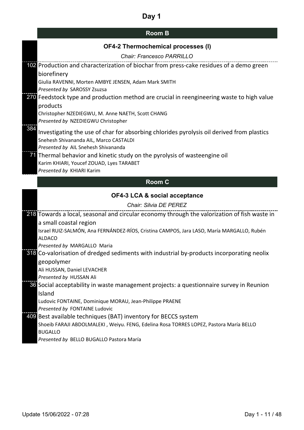| <b>Room B</b> |
|---------------|
|---------------|

|     | OF4-2 Thermochemical processes (I)                                                                                                                                                                                              |  |  |  |
|-----|---------------------------------------------------------------------------------------------------------------------------------------------------------------------------------------------------------------------------------|--|--|--|
|     | Chair: Francesco PARRILLO                                                                                                                                                                                                       |  |  |  |
|     | 102 Production and characterization of biochar from press-cake residues of a demo green<br>biorefinery<br>Giulia RAVENNI, Morten AMBYE JENSEN, Adam Mark SMITH                                                                  |  |  |  |
|     | Presented by SAROSSY Zsuzsa<br>270 Feedstock type and production method are crucial in reengineering waste to high value<br>products<br>Christopher NZEDIEGWU, M. Anne NAETH, Scott CHANG<br>Presented by NZEDIEGWU Christopher |  |  |  |
| 384 | Investigating the use of char for absorbing chlorides pyrolysis oil derived from plastics<br>Snehesh Shivananda AIL, Marco CASTALDI<br>Presented by AIL Snehesh Shivananda                                                      |  |  |  |
|     | 71 Thermal behavior and kinetic study on the pyrolysis of wasteengine oil<br>Karim KHIARI, Youcef ZOUAD, Lyes TARABET<br>Presented by KHIARI Karim                                                                              |  |  |  |
|     | <b>Room C</b>                                                                                                                                                                                                                   |  |  |  |
|     | <b>OF4-3 LCA &amp; social acceptance</b>                                                                                                                                                                                        |  |  |  |
|     | Chair: Silvia DE PEREZ                                                                                                                                                                                                          |  |  |  |
|     | 218 Towards a local, seasonal and circular economy through the valorization of fish waste in                                                                                                                                    |  |  |  |
|     | a small coastal region                                                                                                                                                                                                          |  |  |  |
|     | Israel RUIZ-SALMÓN, Ana FERNÁNDEZ-RÍOS, Cristina CAMPOS, Jara LASO, María MARGALLO, Rubén<br><b>ALDACO</b>                                                                                                                      |  |  |  |
|     | Presented by MARGALLO Maria                                                                                                                                                                                                     |  |  |  |
|     | 318 Co-valorisation of dredged sediments with industrial by-products incorporating neolix                                                                                                                                       |  |  |  |
|     | geopolymer<br>Ali HUSSAN, Daniel LEVACHER                                                                                                                                                                                       |  |  |  |
|     | Presented by HUSSAN Ali                                                                                                                                                                                                         |  |  |  |
|     | 36 Social acceptability in waste management projects: a questionnaire survey in Reunion                                                                                                                                         |  |  |  |
|     | Island                                                                                                                                                                                                                          |  |  |  |
|     | Ludovic FONTAINE, Dominique MORAU, Jean-Philippe PRAENE                                                                                                                                                                         |  |  |  |
|     | Presented by FONTAINE Ludovic                                                                                                                                                                                                   |  |  |  |
|     | 409 Best available techniques (BAT) inventory for BECCS system                                                                                                                                                                  |  |  |  |
|     | Shoeib FARAJI ABDOLMALEKI, Weiyu. FENG, Edelina Rosa TORRES LOPEZ, Pastora María BELLO<br><b>BUGALLO</b>                                                                                                                        |  |  |  |
|     | Presented by BELLO BUGALLO Pastora María                                                                                                                                                                                        |  |  |  |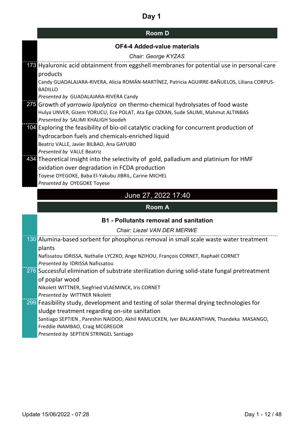| <b>Room D</b> |  |
|---------------|--|
|---------------|--|

|  |  | <b>OF4-4 Added-value materials</b> |  |
|--|--|------------------------------------|--|
|--|--|------------------------------------|--|

| OF4-4 Added-value materials                                                                                                              |  |  |  |  |
|------------------------------------------------------------------------------------------------------------------------------------------|--|--|--|--|
| Chair: George KYZAS                                                                                                                      |  |  |  |  |
| 178 Hyaluronic acid obtainment from eggshell membranes for potential use in personal-care                                                |  |  |  |  |
| products                                                                                                                                 |  |  |  |  |
| Candy GUADALAJARA-RIVERA, Alicia ROMÁN-MARTÍNEZ, Patricia AGUIRRE-BAÑUELOS, Liliana CORPUS-                                              |  |  |  |  |
| <b>BADILLO</b>                                                                                                                           |  |  |  |  |
| Presented by GUADALAJARA-RIVERA Candy                                                                                                    |  |  |  |  |
| 275 Growth of yarrowia lipolytica on thermo-chemical hydrolysates of food waste                                                          |  |  |  |  |
| Hulya UNVER, Gizem YORUCU, Ece POLAT, Ata Ege OZKAN, Sude SALIMI, Mahmut ALTINBAS                                                        |  |  |  |  |
| Presented by SALIMI KHALIGH Soodeh                                                                                                       |  |  |  |  |
| 104 Exploring the feasibility of bio-oil catalytic cracking for concurrent production of                                                 |  |  |  |  |
| hydrocarbon fuels and chemicals-enriched liquid                                                                                          |  |  |  |  |
| Beatriz VALLE, Javier BILBAO, Ana GAYUBO<br>Presented by VALLE Beatriz                                                                   |  |  |  |  |
|                                                                                                                                          |  |  |  |  |
| 434 Theoretical insight into the selectivity of gold, palladium and platinium for HMF                                                    |  |  |  |  |
| oxidation over degradation in FCDA production                                                                                            |  |  |  |  |
|                                                                                                                                          |  |  |  |  |
| Toyese OYEGOKE, Baba El-Yakubu JIBRIL, Carine MICHEL                                                                                     |  |  |  |  |
| Presented by OYEGOKE Toyese                                                                                                              |  |  |  |  |
| June 27, 2022 17:40                                                                                                                      |  |  |  |  |
| <b>Room A</b>                                                                                                                            |  |  |  |  |
| <b>B1 - Pollutants removal and sanitation</b>                                                                                            |  |  |  |  |
| Chair: Liezel VAN DER MERWE                                                                                                              |  |  |  |  |
| 130 Alumina-based sorbent for phosphorus removal in small scale waste water treatment                                                    |  |  |  |  |
| plants                                                                                                                                   |  |  |  |  |
| Nafissatou IDRISSA, Nathalie LYCZKO, Ange NZIHOU, François CORNET, Raphaël CORNET                                                        |  |  |  |  |
| Presented by IDRISSA Nafissatou                                                                                                          |  |  |  |  |
|                                                                                                                                          |  |  |  |  |
| $\overline{276}$ Successful elimination of substrate sterilization during solid-state fungal pretreatment<br>of poplar wood              |  |  |  |  |
| Nikolett WITTNER, Siegfried VLAEMINCK, Iris CORNET                                                                                       |  |  |  |  |
| Presented by WITTNER Nikolett                                                                                                            |  |  |  |  |
| 299 Feasibility study, development and testing of solar thermal drying technologies for                                                  |  |  |  |  |
| sludge treatment regarding on-site sanitation<br>Santiago SEPTIEN, Pareshin NAIDOO, Akhil RAMLUCKEN, Iyer BALAKANTHAN, Thandeka MASANGO, |  |  |  |  |

Freddie INAMBAO, Craig MCGREGOR

*Presented by* SEPTIEN STRINGEL Santiago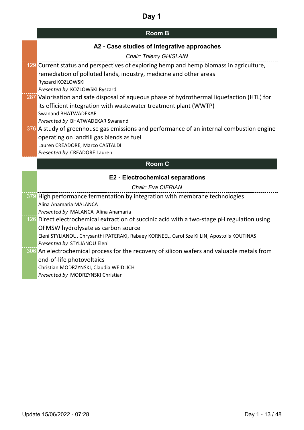|  |  |  |  |  | A2 - Case studies of integrative approaches |
|--|--|--|--|--|---------------------------------------------|
|--|--|--|--|--|---------------------------------------------|

| <b>Chair: Thierry GHISLAIN</b>                                                              |
|---------------------------------------------------------------------------------------------|
| 129 Current status and perspectives of exploring hemp and hemp biomass in agriculture,      |
| remediation of polluted lands, industry, medicine and other areas                           |
| Ryszard KOZLOWSKI                                                                           |
| Presented by KOZLOWSKI Ryszard                                                              |
| 287 Valorisation and safe disposal of aqueous phase of hydrothermal liquefaction (HTL) for  |
| its efficient integration with wastewater treatment plant (WWTP)                            |
| <b>Swanand BHATWADEKAR</b>                                                                  |
| Presented by BHATWADEKAR Swanand                                                            |
| 376 A study of greenhouse gas emissions and performance of an internal combustion engine    |
| operating on landfill gas blends as fuel                                                    |
| Lauren CREADORE, Marco CASTALDI<br>Presented by CREADORE Lauren                             |
|                                                                                             |
| <b>Room C</b>                                                                               |
|                                                                                             |
| <b>E2 - Electrochemical separations</b>                                                     |
| Chair: Eva CIFRIAN                                                                          |
| 379 High performance fermentation by integration with membrane technologies                 |
| Alina Anamaria MALANCA                                                                      |
| Presented by MALANCA Alina Anamaria                                                         |
| 126 Direct electrochemical extraction of succinic acid with a two-stage pH regulation using |
| OFMSW hydrolysate as carbon source                                                          |
| Eleni STYLIANOU, Chrysanthi PATERAKI, Rabaey KORNEEL, Carol Sze Ki LIN, Apostolis KOUTINAS  |
| Presented by STYLIANOU Eleni                                                                |
| 306 An electrochemical process for the recovery of silicon wafers and valuable metals from  |
| end-of-life photovoltaics                                                                   |
| Christian MODRZYNSKI, Claudia WEIDLICH                                                      |
| Presented by MODRZYNSKI Christian                                                           |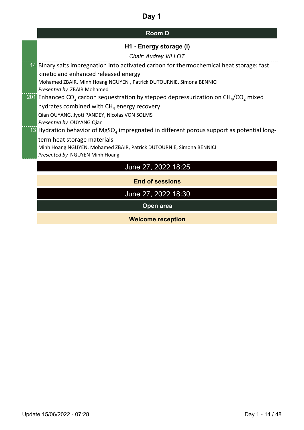# **Room D**

## **H1 - Energy storage (I)**

| Chair: Audrey VILLOT                                                                                  |
|-------------------------------------------------------------------------------------------------------|
| 14 Binary salts impregnation into activated carbon for thermochemical heat storage: fast              |
| kinetic and enhanced released energy                                                                  |
| Mohamed ZBAIR, Minh Hoang NGUYEN, Patrick DUTOURNIE, Simona BENNICI                                   |
| <b>Presented by ZBAIR Mohamed</b>                                                                     |
| 201 Enhanced CO <sub>2</sub> carbon sequestration by stepped depressurization on $CH4/CO2$ mixed      |
| hydrates combined with $CH4$ energy recovery                                                          |
| Qian OUYANG, Jyoti PANDEY, Nicolas VON SOLMS                                                          |
| <i>Presented by OUYANG Qian</i>                                                                       |
| 13 Hydration behavior of MgSO <sub>4</sub> impregnated in different porous support as potential long- |
| term heat storage materials                                                                           |
| Minh Hoang NGUYEN, Mohamed ZBAIR, Patrick DUTOURNIE, Simona BENNICI                                   |
| Presented by NGUYEN Minh Hoang                                                                        |
|                                                                                                       |

# June 27, 2022 18:25

**End of sessions**

June 27, 2022 18:30

**Open area**

**Welcome reception**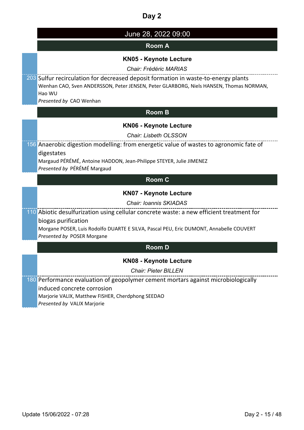| June 28, 2022 09:00                                                                                                                                                                                               |
|-------------------------------------------------------------------------------------------------------------------------------------------------------------------------------------------------------------------|
| <b>Room A</b>                                                                                                                                                                                                     |
| <b>KN05 - Keynote Lecture</b><br>Chair: Frédéric MARIAS                                                                                                                                                           |
| 203 Sulfur recirculation for decreased deposit formation in waste-to-energy plants<br>Wenhan CAO, Sven ANDERSSON, Peter JENSEN, Peter GLARBORG, Niels HANSEN, Thomas NORMAN,<br>Hao WU<br>Presented by CAO Wenhan |
| <b>Room B</b>                                                                                                                                                                                                     |
| <b>KN06 - Keynote Lecture</b>                                                                                                                                                                                     |
| <b>Chair: Lisbeth OLSSON</b>                                                                                                                                                                                      |
| 156 Anaerobic digestion modelling: from energetic value of wastes to agronomic fate of<br>digestates<br>Margaud PÉRÉMÉ, Antoine HADDON, Jean-Philippe STEYER, Julie JIMENEZ<br>Presented by PÉRÉMÉ Margaud        |
| <b>Room C</b>                                                                                                                                                                                                     |
| <b>KN07 - Keynote Lecture</b>                                                                                                                                                                                     |
| <b>Chair: Ioannis SKIADAS</b>                                                                                                                                                                                     |
| 110 Abiotic desulfurization using cellular concrete waste: a new efficient treatment for                                                                                                                          |
| biogas purification<br>Morgane POSER, Luis Rodolfo DUARTE E SILVA, Pascal PEU, Eric DUMONT, Annabelle COUVERT<br>Presented by POSER Morgane                                                                       |
| <b>Room D</b>                                                                                                                                                                                                     |
| <b>KN08 - Keynote Lecture</b>                                                                                                                                                                                     |
| <b>Chair: Pieter BILLEN</b>                                                                                                                                                                                       |
| 180 Performance evaluation of geopolymer cement mortars against microbiologically<br>induced concrete corrosion<br>Marjorie VALIX, Matthew FISHER, Cherdphong SEEDAO<br>Presented by VALIX Marjorie               |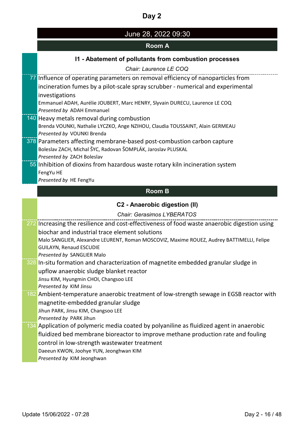| June 28, 2022 09:30 |  |
|---------------------|--|
|---------------------|--|

## **Room A**

### **I1 - Abatement of pollutants from combustion processes**

|     | <b>ADUCTION OF PURISHIP HUILD OUTDUOUS PLUSSUS</b>                                           |
|-----|----------------------------------------------------------------------------------------------|
|     | Chair: Laurence LE COQ                                                                       |
|     | 77 Influence of operating parameters on removal efficiency of nanoparticles from             |
|     | incineration fumes by a pilot-scale spray scrubber - numerical and experimental              |
|     | investigations                                                                               |
|     | Emmanuel ADAH, Aurélie JOUBERT, Marc HENRY, Slyvain DURECU, Laurence LE COQ                  |
|     | Presented by ADAH Emmanuel                                                                   |
|     | 140 Heavy metals removal during combustion                                                   |
|     | Brenda VOUNKI, Nathalie LYCZKO, Ange NZIHOU, Claudia TOUSSAINT, Alain GERMEAU                |
|     | Presented by VOUNKI Brenda                                                                   |
|     | 378 Parameters affecting membrane-based post-combustion carbon capture                       |
|     | Boleslav ZACH, Michal ŠYC, Radovan ŠOMPLÁK, Jaroslav PLUSKAL                                 |
|     | Presented by ZACH Boleslav                                                                   |
|     | 55 Inhibition of dioxins from hazardous waste rotary kiln incineration system                |
|     | FengYu HE                                                                                    |
|     | Presented by HE FengYu                                                                       |
|     | <b>Room B</b>                                                                                |
|     | C2 - Anaerobic digestion (II)                                                                |
|     | <b>Chair: Gerasimos LYBERATOS</b>                                                            |
|     | 272 Increasing the resilience and cost-effectiveness of food waste anaerobic digestion using |
|     | biochar and industrial trace element solutions                                               |
|     | Malo SANGLIER, Alexandre LEURENT, Roman MOSCOVIZ, Maxime ROUEZ, Audrey BATTIMELLI, Felipe    |
|     | <b>GUILAYN, Renaud ESCUDIE</b>                                                               |
|     | Presented by SANGLIER Malo                                                                   |
|     | 328 In-situ formation and characterization of magnetite embedded granular sludge in          |
|     | upflow anaerobic sludge blanket reactor                                                      |
|     | Jinsu KIM, Hyungmin CHOI, Changsoo LEE                                                       |
|     | Presented by KIM Jinsu                                                                       |
| 182 | Ambient-temperature anaerobic treatment of low-strength sewage in EGSB reactor with          |
|     | magnetite-embedded granular sludge                                                           |
|     | Jihun PARK, Jinsu KIM, Changsoo LEE                                                          |
|     | Presented by PARK Jihun                                                                      |
| 134 | Application of polymeric media coated by polyaniline as fluidized agent in anaerobic         |
|     | fluidized bed membrane bioreactor to improve methane production rate and fouling             |
|     | control in low-strength wastewater treatment                                                 |
|     | Daeeun KWON, Joohye YUN, Jeonghwan KIM                                                       |
|     | Presented by KIM Jeonghwan                                                                   |
|     |                                                                                              |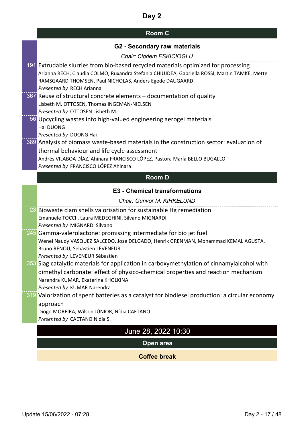# **Room C**

| <b>G2 - Secondary raw materials</b> |  |
|-------------------------------------|--|
|-------------------------------------|--|

| Chair: Cigdem ESKICIOGLU                                                                                                                                                                                                                                                    |
|-----------------------------------------------------------------------------------------------------------------------------------------------------------------------------------------------------------------------------------------------------------------------------|
| 191 Extrudable slurries from bio-based recycled materials optimized for processing<br>Arianna RECH, Claudia COLMO, Ruxandra Stefania CHIUJDEA, Gabriella ROSSI, Martin TAMKE, Mette<br>RAMSGAARD THOMSEN, Paul NICHOLAS, Anders Egede DAUGAARD<br>Presented by RECH Arianna |
| 367 Reuse of structural concrete elements - documentation of quality<br>Lisbeth M. OTTOSEN, Thomas INGEMAN-NIELSEN<br>Presented by OTTOSEN Lisbeth M.                                                                                                                       |
| 56 Upcycling wastes into high-valued engineering aerogel materials<br>Hai DUONG<br>Presented by DUONG Hai                                                                                                                                                                   |
| 389 Analysis of biomass waste-based materials in the construction sector: evaluation of<br>thermal behaviour and life cycle assessment<br>Andrés VILABOA DÍAZ, Ahinara FRANCISCO LÓPEZ, Pastora María BELLO BUGALLO<br>Presented by FRANCISCO LÓPEZ Ahinara                 |
| <b>Room D</b>                                                                                                                                                                                                                                                               |
| <b>E3 - Chemical transformations</b>                                                                                                                                                                                                                                        |
| Chair: Gunvor M. KIRKELUND                                                                                                                                                                                                                                                  |
| 23 Biowaste clam shells valorisation for sustainable Hg remediation<br>Emanuele TOCCI, Laura MEDEGHINI, Silvano MIGNARDI<br>Presented by MIGNARDI Silvano                                                                                                                   |
| 245 Gamma-valerolactone: promissing intermediate for bio jet fuel<br>Wenel Naudy VASQUEZ SALCEDO, Jose DELGADO, Henrik GRENMAN, Mohammad KEMAL AGUSTA,<br>Bruno RENOU, Sebastien LEVENEUR<br>Presented by LEVENEUR Sébastien                                                |
| 353 Slag catalytic materials for application in carboxymethylation of cinnamylalcohol with<br>dimethyl carbonate: effect of physico-chemical properties and reaction mechanism<br>Narendra KUMAR, Ekaterina KHOLKINA<br>Presented by KUMAR Narendra                         |
| 319 Valorization of spent batteries as a catalyst for biodiesel production: a circular economy<br>approach<br>Diogo MOREIRA, Wilson JÚNIOR, Nídia CAETANO<br>Presented by CAETANO Nídia S.                                                                                  |
| June 28, 2022 10:30                                                                                                                                                                                                                                                         |
| Open area                                                                                                                                                                                                                                                                   |
|                                                                                                                                                                                                                                                                             |

**Coffee break**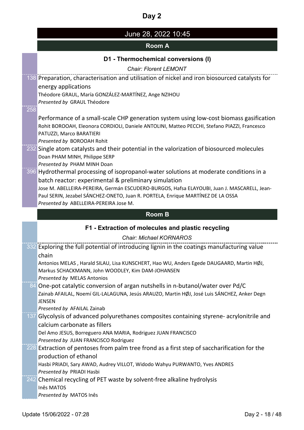# June 28, 2022 10:45

### **Room A**

### **D1 - Thermochemical conversions (I)**

*Chair: Florent LEMONT*

|     | 138 Preparation, characterisation and utilisation of nickel and iron biosourced catalysts for<br>energy applications<br>Théodore GRAUL, María GONZÁLEZ-MARTÍNEZ, Ange NZIHOU<br>Presented by GRAUL Théodore                                                                                                                                                                                                                                                                                             |
|-----|---------------------------------------------------------------------------------------------------------------------------------------------------------------------------------------------------------------------------------------------------------------------------------------------------------------------------------------------------------------------------------------------------------------------------------------------------------------------------------------------------------|
| 258 | Performance of a small-scale CHP generation system using low-cost biomass gasification<br>Rohit BOROOAH, Eleonora CORDIOLI, Daniele ANTOLINI, Matteo PECCHI, Stefano PIAZZI, Francesco<br>PATUZZI, Marco BARATIERI<br>Presented by BOROOAH Rohit<br>232 Single atom catalysts and their potential in the valorization of biosourced molecules<br>Doan PHAM MINH, Philippe SERP<br>Presented by PHAM MINH Doan<br>396 Hydrothermal processing of isopropanol-water solutions at moderate conditions in a |
|     | batch reactor: experimental & preliminary simulation<br>Jose M. ABELLEIRA-PEREIRA, Germán ESCUDERO-BURGOS, Hafsa ELAYOUBI, Juan J. MASCARELL, Jean-<br>Paul SERIN, Jezabel SÁNCHEZ-ONETO, Juan R. PORTELA, Enrique MARTÍNEZ DE LA OSSA<br>Presented by ABELLEIRA-PEREIRA Jose M.                                                                                                                                                                                                                        |
|     | <b>Room B</b>                                                                                                                                                                                                                                                                                                                                                                                                                                                                                           |
|     | F1 - Extraction of molecules and plastic recycling                                                                                                                                                                                                                                                                                                                                                                                                                                                      |
|     | <b>Chair: Michael KORNAROS</b>                                                                                                                                                                                                                                                                                                                                                                                                                                                                          |
|     | 332 Exploring the full potential of introducing lignin in the coatings manufacturing value<br>chain<br>Antonios MELAS, Harald SILAU, Lisa KUNSCHERT, Hao WU, Anders Egede DAUGAARD, Martin HØJ,<br>Markus SCHACKMANN, John WOODLEY, Kim DAM-JOHANSEN<br>Presented by MELAS Antonios                                                                                                                                                                                                                     |
|     | 84 One-pot catalytic conversion of argan nutshells in n-butanol/water over Pd/C<br>Zainab AFAILAL, Noemí GIL-LALAGUNA, Jesús ARAUZO, Martin HØJ, José Luis SÁNCHEZ, Anker Degn<br>JENSEN<br>Presented by AFAILAL Zainab                                                                                                                                                                                                                                                                                 |
|     | 137 Glycolysis of advanced polyurethanes composites containing styrene- acrylonitrile and<br>calcium carbonate as fillers<br>Del Amo JESUS, Borreguero ANA MARIA, Rodriguez JUAN FRANCISCO<br>Presented by JUAN FRANCISCO Rodriguez                                                                                                                                                                                                                                                                     |
|     | 228 Extraction of pentoses from palm tree frond as a first step of saccharification for the<br>production of ethanol<br>Hasbi PRIADI, Sary AWAD, Audrey VILLOT, Widodo Wahyu PURWANTO, Yves ANDRES<br>Presented by PRIADI Hasbi                                                                                                                                                                                                                                                                         |
|     | 242 Chemical recycling of PET waste by solvent-free alkaline hydrolysis<br><b>Inês MATOS</b><br>Presented by MATOS Inês                                                                                                                                                                                                                                                                                                                                                                                 |
|     |                                                                                                                                                                                                                                                                                                                                                                                                                                                                                                         |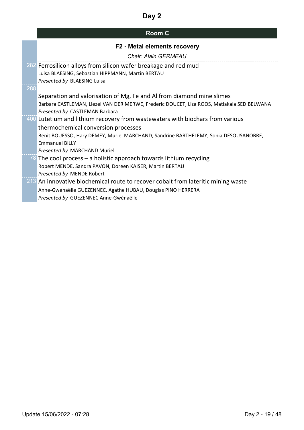|              | <b>Room C</b>                                                                              |
|--------------|--------------------------------------------------------------------------------------------|
|              | F2 - Metal elements recovery                                                               |
|              | <b>Chair: Alain GERMEAU</b>                                                                |
|              | 282 Ferrosilicon alloys from silicon wafer breakage and red mud                            |
|              | Luisa BLAESING, Sebastian HIPPMANN, Martin BERTAU                                          |
|              | Presented by BLAESING Luisa                                                                |
| _____<br>288 |                                                                                            |
|              | Separation and valorisation of Mg, Fe and AI from diamond mine slimes                      |
|              | Barbara CASTLEMAN, Liezel VAN DER MERWE, Frederic DOUCET, Liza ROOS, Matlakala SEDIBELWANA |
|              | Presented by CASTLEMAN Barbara                                                             |
|              | 400 Lutetium and lithium recovery from wastewaters with biochars from various              |
|              | thermochemical conversion processes                                                        |
|              | Benit BOUESSO, Hary DEMEY, Muriel MARCHAND, Sandrine BARTHELEMY, Sonia DESOUSANOBRE,       |
|              | <b>Emmanuel BILLY</b>                                                                      |
|              | Presented by MARCHAND Muriel                                                               |
|              | 78 The cool process – a holistic approach towards lithium recycling                        |
|              | Robert MENDE, Sandra PAVON, Doreen KAISER, Martin BERTAU                                   |
|              | Presented by MENDE Robert                                                                  |
|              | 213 An innovative biochemical route to recover cobalt from lateritic mining waste          |
|              | Anne-Gwénaëlle GUEZENNEC, Agathe HUBAU, Douglas PINO HERRERA                               |
|              | Presented by GUEZENNEC Anne-Gwénaëlle                                                      |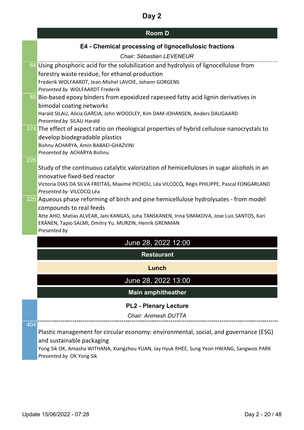|     | <b>Room D</b>                                                                                 |
|-----|-----------------------------------------------------------------------------------------------|
|     | E4 - Chemical processing of lignocellulosic fractions                                         |
|     | Chair: Sébastien LEVENEUR                                                                     |
|     | 64 Using phosphoric acid for the solubilization and hydrolysis of lignocellulose from         |
|     | forestry waste residue, for ethanol production                                                |
|     | Frederik WOLFAARDT, Jean-Michel LAVOIE, Johann GORGENS                                        |
|     | Presented by WOLFAARDT Frederik                                                               |
|     | 85 Bio-based epoxy binders from epoxidized rapeseed fatty acid lignin derivatives in          |
|     | bimodal coating networks                                                                      |
|     | Harald SILAU, Alicia GARCIA, John WOODLEY, Kim DAM-JOHANSEN, Anders DAUGAARD                  |
|     | Presented by SILAU Harald                                                                     |
|     | 374 The effect of aspect ratio on rheological properties of hybrid cellulose nanocrystals to  |
|     | develop biodegradable plastics                                                                |
|     | Bishnu ACHARYA, Amin BABAEI-GHAZVINI<br>Presented by ACHARYA Bishnu                           |
| 226 |                                                                                               |
|     | Study of the continuous catalytic valorization of hemicelluloses in sugar alcohols in an      |
|     | innovative fixed-bed reactor                                                                  |
|     | Victoria DIAS DA SILVA FREITAS, Maxime PICHOU, Léa VILCOCQ, Régis PHILIPPE, Pascal FONGARLAND |
|     | Presented by VILCOCQ Léa                                                                      |
|     | 225 Aqueous phase reforming of birch and pine hemicellulose hydrolysates - from model         |
|     | compounds to real feeds                                                                       |
|     | Atte AHO, Matias ALVEAR, Jani KANGAS, Juha TANSKANEN, Irina SIMAKOVA, Jose Luis SANTOS, Kari  |
|     | ERÄNEN, Tapio SALMI, Dmitry Yu. MURZIN, Henrik GRENMAN                                        |
|     | Presented by                                                                                  |
|     | June 28, 2022 12:00                                                                           |
|     | <b>Restaurant</b>                                                                             |
|     | Lunch                                                                                         |
|     | June 28, 2022 13:00                                                                           |
|     | <b>Main amphitheather</b>                                                                     |
|     | <b>PL2 - Plenary Lecture</b>                                                                  |
|     | <b>Chair: Animesh DUTTA</b>                                                                   |
|     |                                                                                               |
| 404 |                                                                                               |

Plastic management for circular economy: environmental, social, and governance (ESG) and sustainable packaging

Yong Sik OK, Amasha WITHANA, Xiangzhou YUAN, Jay Hyuk RHEE, Sung Yeon HWANG, Sangwoo PARK *Presented by* OK Yong Sik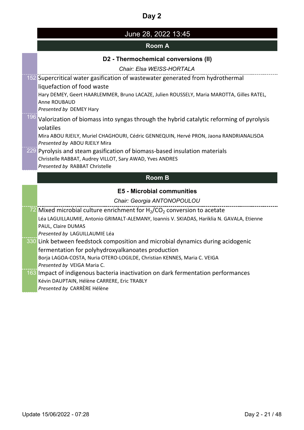| June 28, 2022 13:45 |  |
|---------------------|--|
|---------------------|--|

### **Room A**

#### **D2 - Thermochemical conversions (II)**

*Chair: Elsa WEISS-HORTALA*

152 Supercritical water gasification of wastewater generated from hydrothermal liquefaction of food waste Hary DEMEY, Geert HAARLEMMER, Bruno LACAZE, Julien ROUSSELY, Maria MAROTTA, Gilles RATEL, Anne ROUBAUD *Presented by* DEMEY Hary

## 196 Valorization of biomass into syngas through the hybrid catalytic reforming of pyrolysis volatiles

Mira ABOU RJEILY, Muriel CHAGHOURI, Cédric GENNEQUIN, Hervé PRON, Jaona RANDRIANALISOA *Presented by* ABOU RJEILY Mira

229 Pyrolysis and steam gasification of biomass-based insulation materials Christelle RABBAT, Audrey VILLOT, Sary AWAD, Yves ANDRES *Presented by* RABBAT Christelle

### **Room B**

#### **E5 - Microbial communities**

*Chair: Georgia ANTONOPOULOU*

 $72$  Mixed microbial culture enrichment for H<sub>2</sub>/CO<sub>2</sub> conversion to acetate Léa LAGUILLAUMIE, Antonio GRIMALT-ALEMANY, Ioannis V. SKIADAS, Hariklia N. GAVALA, Etienne PAUL, Claire DUMAS *Presented by* LAGUILLAUMIE Léa 330 Link between feedstock composition and microbial dynamics during acidogenic fermentation for polyhydroxyalkanoates production Borja LAGOA-COSTA, Nuria OTERO-LOGILDE, Christian KENNES, Maria C. VEIGA *Presented by* VEIGA Maria C. 163 Impact of indigenous bacteria inactivation on dark fermentation performances Kévin DAUPTAIN, Hélène CARRERE, Eric TRABLY

*Presented by* CARRÈRE Hélène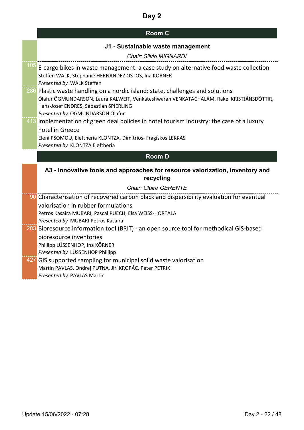| <b>Room C</b> |  |
|---------------|--|
|---------------|--|

#### **J1 - Sustainable waste management**

| Chair: Silvio MIGNARDI                                                                                                                                                                                                                                 |
|--------------------------------------------------------------------------------------------------------------------------------------------------------------------------------------------------------------------------------------------------------|
| $\frac{105}{105}$ E-cargo bikes in waste management: a case study on alternative food waste collection<br>Steffen WALK, Stephanie HERNANDEZ OSTOS, Ina KÖRNER<br>Presented by WALK Steffen                                                             |
| 286 Plastic waste handling on a nordic island: state, challenges and solutions<br>Ólafur ÖGMUNDARSON, Laura KALWEIT, Venkateshwaran VENKATACHALAM, Rakel KRISTJÁNSDÓTTIR,<br>Hans-Josef ENDRES, Sebastian SPIERLING<br>Presented by ÖGMUNDARSON Ólafur |
| 413 Implementation of green deal policies in hotel tourism industry: the case of a luxury                                                                                                                                                              |
| hotel in Greece                                                                                                                                                                                                                                        |
|                                                                                                                                                                                                                                                        |
| Eleni PSOMOU, Eleftheria KLONTZA, Dimitrios- Fragiskos LEKKAS                                                                                                                                                                                          |
| Presented by KLONTZA Eleftheria                                                                                                                                                                                                                        |
| <b>Room D</b>                                                                                                                                                                                                                                          |
| A3 - Innovative tools and approaches for resource valorization, inventory and<br>recycling                                                                                                                                                             |
| <b>Chair: Claire GERENTE</b>                                                                                                                                                                                                                           |
| 90 Characterisation of recovered carbon black and dispersibility evaluation for eventual                                                                                                                                                               |
| valorisation in rubber formulations                                                                                                                                                                                                                    |

**283** Bioresource information tool (BRIT) - an open source tool for methodical GIS-based

427 GIS supported sampling for municipal solid waste valorisation

Martin PAVLAS, Ondrej PUTNA, Jirí KROPÁC, Peter PETRIK

*Presented by* MUBARI Petros Kasaira

bioresource inventories Phillipp LÜSSENHOP, Ina KÖRNER *Presented by* LÜSSENHOP Phillipp

*Presented by* PAVLAS Martin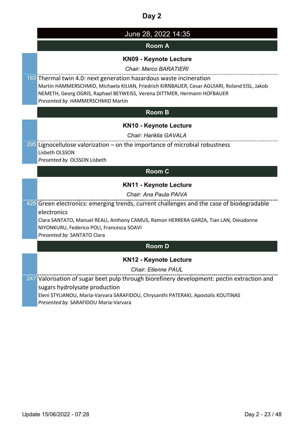|               | June 28, 2022 14:35                                                                                                               |  |
|---------------|-----------------------------------------------------------------------------------------------------------------------------------|--|
| <b>Room A</b> |                                                                                                                                   |  |
|               | <b>KN09 - Keynote Lecture</b>                                                                                                     |  |
|               | <b>Chair: Marco BARATIERI</b>                                                                                                     |  |
|               | 183 Thermal twin 4.0: next generation hazardous waste incineration                                                                |  |
|               | Martin HAMMERSCHMID, Michaela KILIAN, Friedrich KIRNBAUER, Cesar AGUIARI, Roland EISL, Jakob                                      |  |
|               | NEMETH, Georg OGRIS, Raphael BEYWEISS, Verena DITTMER, Hermann HOFBAUER<br>Presented by HAMMERSCHMID Martin                       |  |
|               |                                                                                                                                   |  |
|               | <b>Room B</b>                                                                                                                     |  |
|               | <b>KN10 - Keynote Lecture</b>                                                                                                     |  |
|               | Chair: Hariklia GAVALA                                                                                                            |  |
|               | 295 Lignocellulose valorization – on the importance of microbial robustness                                                       |  |
|               | Lisbeth OLSSON                                                                                                                    |  |
|               | Presented by OLSSON Lisbeth                                                                                                       |  |
|               | <b>Room C</b>                                                                                                                     |  |
|               | <b>KN11 - Keynote Lecture</b>                                                                                                     |  |
|               | Chair: Ana Paula PAIVA                                                                                                            |  |
|               | 428 Green electronics: emerging trends, current challenges and the case of biodegradable                                          |  |
|               | electronics                                                                                                                       |  |
|               | Clara SANTATO, Manuel REALI, Anthony CAMUS, Ramon HERRERA GARZA, Tian LAN, Dieudonne<br>NIYONKURU, Federico POLI, Francesca SOAVI |  |
|               | Presented by SANTATO Clara                                                                                                        |  |
|               | <b>Room D</b>                                                                                                                     |  |
|               |                                                                                                                                   |  |
|               |                                                                                                                                   |  |
|               | <b>KN12 - Keynote Lecture</b>                                                                                                     |  |
|               | <b>Chair: Etienne PAUL</b>                                                                                                        |  |
|               | 247 Valorisation of sugar beet pulp through biorefinery development: pectin extraction and                                        |  |
|               | sugars hydrolysate production<br>Eleni STYLIANOU, Maria-Varvara SARAFIDOU, Chrysanthi PATERAKI, Apostolis KOUTINAS                |  |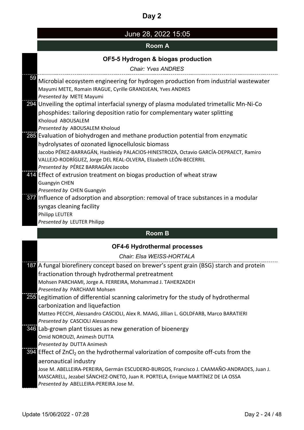### June 28, 2022 15:05

#### **Room A**

### **OF5-5 Hydrogen & biogas production**

*Chair: Yves ANDRES* <sup>59</sup> Microbial ecosystem engineering for hydrogen production from industrial wastewater Mayumi METE, Romain IRAGUE, Cyrille GRANDJEAN, Yves ANDRES *Presented by* METE Mayumi 294 Unveiling the optimal interfacial synergy of plasma modulated trimetallic Mn-Ni-Co phosphides: tailoring deposition ratio for complementary water splitting Kholoud ABOUSALEM *Presented by* ABOUSALEM Kholoud 285 Evaluation of biohydrogen and methane production potential from enzymatic hydrolysates of ozonated lignocellulosic biomass Jacobo PÉREZ-BARRAGÁN, Hasbleidy PALACIOS-HINESTROZA, Octavio GARCÍA-DEPRAECT, Ramiro VALLEJO-RODRÍGUEZ, Jorge DEL REAL-OLVERA, Elizabeth LEÓN-BECERRIL *Presented by* PÉREZ BARRAGÁN Jacobo 414 Effect of extrusion treatment on biogas production of wheat straw Guangyin CHEN *Presented by* CHEN Guangyin 377 Influence of adsorption and absorption: removal of trace substances in a modular syngas cleaning facility

### **Room B**

#### **OF4-6 Hydrothermal processes**

*Chair: Elsa WEISS-HORTALA*

| 187 A fungal biorefinery concept based on brewer's spent grain (BSG) starch and protein   |
|-------------------------------------------------------------------------------------------|
| fractionation through hydrothermal pretreatment                                           |
| Mohsen PARCHAMI, Jorge A. FERREIRA, Mohammad J. TAHERZADEH                                |
| Presented by PARCHAMI Mohsen                                                              |
| 255 Legitimation of differential scanning calorimetry for the study of hydrothermal       |
| carbonization and liquefaction                                                            |
| Matteo PECCHI, Alessandro CASCIOLI, Alex R. MAAG, Jillian L. GOLDFARB, Marco BARATIERI    |
| Presented by CASCIOLI Alessandro                                                          |
| 346 Lab-grown plant tissues as new generation of bioenergy                                |
| Omid NOROUZI, Animesh DUTTA                                                               |
| Presented by DUTTA Animesh                                                                |
| 394 Effect of $ZnCl2$ on the hydrothermal valorization of composite off-cuts from the     |
| aeronautical industry                                                                     |
| Jose M. ABELLEIRA-PEREIRA, Germán ESCUDERO-BURGOS, Francisco J. CAAMAÑO-ANDRADES, Juan J. |
| MASCARELL, Jezabel SÁNCHEZ-ONETO, Juan R. PORTELA, Enrique MARTÍNEZ DE LA OSSA            |
| Presented by ABELLEIRA-PEREIRA Jose M.                                                    |

Philipp LEUTER

*Presented by* LEUTER Philipp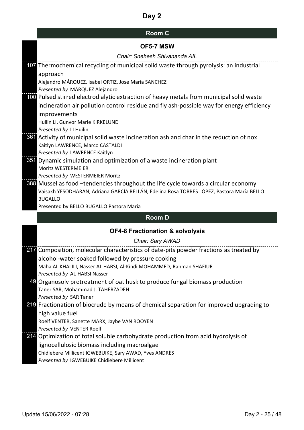| <b>Room C</b> |  |
|---------------|--|
|---------------|--|

| 107 Thermochemical recycling of municipal solid waste through pyrolysis: an industrial                                   |
|--------------------------------------------------------------------------------------------------------------------------|
| approach                                                                                                                 |
| Alejandro MÁRQUEZ, Isabel ORTIZ, Jose Maria SANCHEZ                                                                      |
| Presented by MÁRQUEZ Alejandro                                                                                           |
| 100 Pulsed stirred electrodialytic extraction of heavy metals from municipal solid waste                                 |
| incineration air pollution control residue and fly ash-possible way for energy efficiency                                |
| improvements                                                                                                             |
| Huilin LI, Gunvor Marie KIRKELUND                                                                                        |
| Presented by LI Huilin                                                                                                   |
| 861 Activity of municipal solid waste incineration ash and char in the reduction of nox                                  |
| Kaitlyn LAWRENCE, Marco CASTALDI                                                                                         |
| Presented by LAWRENCE Kaitlyn                                                                                            |
| 351 Dynamic simulation and optimization of a waste incineration plant                                                    |
| Moritz WESTERMEIER                                                                                                       |
| Presented by WESTERMEIER Moritz                                                                                          |
| 388 Mussel as food -tendencies throughout the life cycle towards a circular economy                                      |
| Vaisakh YESODHARAN, Adriana GARCÍA RELLÁN, Edelina Rosa TORRES LÓPEZ, Pastora María BELLO                                |
| <b>BUGALLO</b><br>Presented by BELLO BUGALLO Pastora María                                                               |
|                                                                                                                          |
|                                                                                                                          |
| <b>Room D</b>                                                                                                            |
| <b>OF4-8 Fractionation &amp; solvolysis</b>                                                                              |
| Chair: Sary AWAD                                                                                                         |
| 217 Composition, molecular characteristics of date-pits powder fractions as treated by                                   |
|                                                                                                                          |
| alcohol-water soaked followed by pressure cooking<br>Maha AL KHALILI, Nasser AL HABSI, Al-Kindi MOHAMMED, Rahman SHAFIUR |
| Presented by AL-HABSI Nasser                                                                                             |
| 49 Organosolv pretreatment of oat husk to produce fungal biomass production                                              |
| Taner SAR, Mohammad J. TAHERZADEH                                                                                        |
| Presented by SAR Taner                                                                                                   |
| 219 Fractionation of biocrude by means of chemical separation for improved upgrading to                                  |
| high value fuel                                                                                                          |
| Roelf VENTER, Sanette MARX, Jaybe VAN ROOYEN                                                                             |
| Presented by VENTER Roelf                                                                                                |
| 214 Optimization of total soluble carbohydrate production from acid hydrolysis of                                        |
| lignocellulosic biomass including macroalgae                                                                             |
| Chidiebere Millicent IGWEBUIKE, Sary AWAD, Yves ANDRÈS<br>Presented by IGWEBUIKE Chidiebere Millicent                    |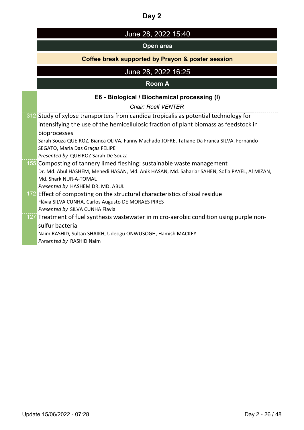|  | June 28, 2022 15:40 |
|--|---------------------|
|--|---------------------|

### **Open area**

### **Coffee break supported by Prayon & poster session**

# June 28, 2022 16:25

#### **Room A**

### **E6 - Biological / Biochemical processing (I)**

*Chair: Roelf VENTER*

| 312 Study of xylose transporters from candida tropicalis as potential technology for          |
|-----------------------------------------------------------------------------------------------|
| intensifying the use of the hemicellulosic fraction of plant biomass as feedstock in          |
| bioprocesses                                                                                  |
| Sarah Souza QUEIROZ, Bianca OLIVA, Fanny Machado JOFRE, Tatiane Da Franca SILVA, Fernando     |
| SEGATO, Maria Das Graças FELIPE                                                               |
| Presented by QUEIROZ Sarah De Souza                                                           |
| 155 Composting of tannery limed fleshing: sustainable waste management                        |
| Dr. Md. Abul HASHEM, Mehedi HASAN, Md. Anik HASAN, Md. Sahariar SAHEN, Sofia PAYEL, Al MIZAN, |
| Md. Shark NUR-A-TOMAL                                                                         |
| Presented by HASHEM DR. MD. ABUL                                                              |
| 172 Effect of composting on the structural characteristics of sisal residue                   |
| Flávia SILVA CUNHA, Carlos Augusto DE MORAES PIRES                                            |
| Presented by SILVA CUNHA Flavia                                                               |
| 127 Treatment of fuel synthesis wastewater in micro-aerobic condition using purple non-       |
| sulfur bacteria                                                                               |
| Naim RASHID, Sultan SHAIKH, Udeogu ONWUSOGH, Hamish MACKEY                                    |
| Presented by RASHID Naim                                                                      |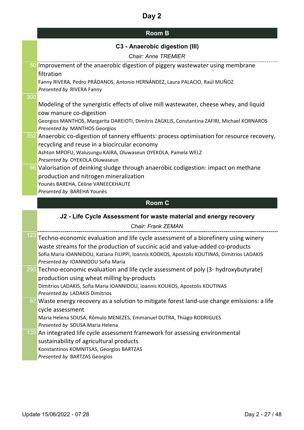|     | <b>C3 - Anaerobic digestion (III)</b>                                                                                                                                                                                                                                                                      |
|-----|------------------------------------------------------------------------------------------------------------------------------------------------------------------------------------------------------------------------------------------------------------------------------------------------------------|
|     | <b>Chair: Anne TREMIER</b>                                                                                                                                                                                                                                                                                 |
|     | 50 Improvement of the anaerobic digestion of piggery wastewater using membrane<br>filtration                                                                                                                                                                                                               |
| 300 | Fanny RIVERA, Pedro PRÁDANOS, Antonio HERNÁNDEZ, Laura PALACIO, Raúl MUÑOZ<br>Presented by RIVERA Fanny                                                                                                                                                                                                    |
|     | Modeling of the synergistic effects of olive mill wastewater, cheese whey, and liquid<br>cow manure co-digestion                                                                                                                                                                                           |
|     | Georgios MANTHOS, Margarita DAREIOTI, Dimitris ZAGKLIS, Constantina ZAFIRI, Michael KORNAROS<br>Presented by MANTHOS Georgios                                                                                                                                                                              |
|     | 352 Anaerobic co-digestion of tannery effluents: process optimisation for resource recovery,<br>recycling and reuse in a biocircular economy                                                                                                                                                               |
|     | Ashton MPOFU, Walusungu KAIRA, Oluwaseun OYEKOLA, Pamela WELZ<br>Presented by OYEKOLA Oluwaseun                                                                                                                                                                                                            |
|     | 66 Valorisation of deinking sludge through anaerobic codigestion: impact on methane<br>production and nitrogen mineralization<br>Younès BAREHA, Céline VANEECKHAUTE                                                                                                                                        |
|     | Presented by BAREHA Younès                                                                                                                                                                                                                                                                                 |
|     | <b>Room C</b>                                                                                                                                                                                                                                                                                              |
|     | J2 - Life Cycle Assessment for waste material and energy recovery                                                                                                                                                                                                                                          |
|     | <b>Chair: Frank ZEMAN</b>                                                                                                                                                                                                                                                                                  |
| 123 | Techno-economic evaluation and life cycle assessment of a biorefinery using winery<br>waste streams for the production of succinic acid and value-added co-products<br>Sofia Maria IOANNIDOU, Katiana FILIPPI, Ioannis KOOKOS, Apostolis KOUTINAS, Dimitrios LADAKIS<br>Presented by IOANNIDOU Sofia Maria |
|     | 293 Techno-economic evaluation and life cycle assessment of poly (3- hydroxybutyrate)<br>production using wheat milling by-products                                                                                                                                                                        |
|     | Dimitrios LADAKIS, Sofia Maria IOANNIDOU, Ioannis KOUKOS, Apostolis KOUTINAS<br>Presented by LADAKIS Dimitrios                                                                                                                                                                                             |
|     | 67 Waste energy recovery as a solution to mitigate forest land-use change emissions: a life<br>cycle assessment                                                                                                                                                                                            |
|     | Maria Helena SOUSA, Rômulo MENEZES, Emmanuel DUTRA, Thiago RODRIGUES<br>Presented by SOUSA Maria Helena                                                                                                                                                                                                    |
|     | 133 An integrated life cycle assessment framework for assessing environmental                                                                                                                                                                                                                              |
|     | sustainability of agricultural products                                                                                                                                                                                                                                                                    |
|     | Konstantinos KOMNITSAS, Georgios BARTZAS<br>Presented by BARTZAS Georgios                                                                                                                                                                                                                                  |
|     |                                                                                                                                                                                                                                                                                                            |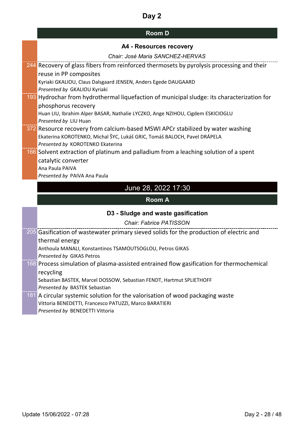| <b>Room D</b> |  |
|---------------|--|
|---------------|--|

| A4 - Resources recovery |  |
|-------------------------|--|
|-------------------------|--|

| Chair: José Maria SANCHEZ-HERVAS                                                           |
|--------------------------------------------------------------------------------------------|
| 244 Recovery of glass fibers from reinforced thermosets by pyrolysis processing and their  |
| reuse in PP composites                                                                     |
| Kyriaki GKALIOU, Claus Dalsgaard JENSEN, Anders Egede DAUGAARD                             |
| Presented by GKALIOU Kyriaki                                                               |
| 193 Hydrochar from hydrothermal liquefaction of municipal sludge: its characterization for |
| phosphorus recovery                                                                        |
| Huan LIU, Ibrahim Alper BASAR, Nathalie LYCZKO, Ange NZIHOU, Cigdem ESKICIOGLU             |
| Presented by LIU Huan                                                                      |
| 372 Resource recovery from calcium-based MSWI APCr stabilized by water washing             |
| Ekaterina KOROTENKO, Michal ŠYC, Lukáš GRIC, Tomáš BALOCH, Pavel DRÁPELA                   |
| Presented by KOROTENKO Ekaterina                                                           |
| 166 Solvent extraction of platinum and palladium from a leaching solution of a spent       |
| catalytic converter                                                                        |
| Ana Paula PAIVA                                                                            |
| Presented by PAIVA Ana Paula                                                               |
| June 28, 2022 17:30                                                                        |
|                                                                                            |
| <b>Room A</b>                                                                              |
| D3 - Sludge and waste gasification                                                         |
| <b>Chair: Fabrice PATISSON</b>                                                             |
| 205 Gasification of wastewater primary sieved solids for the production of electric and    |
| thermal energy                                                                             |
| Anthoula MANALI, Konstantinos TSAMOUTSOGLOU, Petros GIKAS                                  |
| Presented by GIKAS Petros                                                                  |
| 168 Process simulation of plasma-assisted entrained flow gasification for thermochemical   |
| recycling                                                                                  |
| Sebastian BASTEK, Marcel DOSSOW, Sebastian FENDT, Hartmut SPLIETHOFF                       |
| Presented by BASTEK Sebastian                                                              |
| 181 A circular systemic solution for the valorisation of wood packaging waste              |
| Vittoria BENEDETTI, Francesco PATUZZI, Marco BARATIERI                                     |
| Presented by BENEDETTI Vittoria                                                            |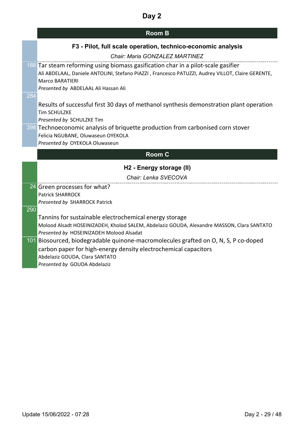|     | <b>Room B</b>                                                                                                                                                                                                                                            |
|-----|----------------------------------------------------------------------------------------------------------------------------------------------------------------------------------------------------------------------------------------------------------|
|     | F3 - Pilot, full scale operation, technico-economic analysis                                                                                                                                                                                             |
|     | Chair: Maria GONZALEZ MARTINEZ                                                                                                                                                                                                                           |
|     | 188 Tar steam reforming using biomass gasification char in a pilot-scale gasifier<br>Ali ABDELAAL, Daniele ANTOLINI, Stefano PIAZZI, Francesco PATUZZI, Audrey VILLOT, Claire GERENTE,<br><b>Marco BARATIERI</b><br>Presented by ABDELAAL Ali Hassan Ali |
| 284 |                                                                                                                                                                                                                                                          |
|     | Results of successful first 30 days of methanol synthesis demonstration plant operation<br><b>Tim SCHULZKE</b><br>Presented by SCHULZKE Tim                                                                                                              |
|     | 398 Technoeconomic analysis of briquette production from carbonised corn stover<br>Felicia NGUBANE, Oluwaseun OYEKOLA<br>Presented by OYEKOLA Oluwaseun                                                                                                  |
|     | <b>Room C</b>                                                                                                                                                                                                                                            |
|     | H2 - Energy storage (II)                                                                                                                                                                                                                                 |
|     | Chair: Lenka SVECOVA                                                                                                                                                                                                                                     |
|     | 24 Green processes for what?                                                                                                                                                                                                                             |
|     | <b>Patrick SHARROCK</b>                                                                                                                                                                                                                                  |
|     | Presented by SHARROCK Patrick                                                                                                                                                                                                                            |
| 290 |                                                                                                                                                                                                                                                          |
|     | Tannins for sustainable electrochemical energy storage                                                                                                                                                                                                   |
|     | Molood Alsadt HOSEINIZADEH, Kholod SALEM, Abdelaziz GOUDA, Alexandre MASSON, Clara SANTATO<br>Presented by HOSEINIZADEH Molood Alsadat                                                                                                                   |
|     | 101 Biosourced, biodegradable quinone-macromolecules grafted on O, N, S, P co-doped<br>carbon paper for high-energy density electrochemical capacitors<br>Abdelaziz GOUDA, Clara SANTATO<br>Presented by GOUDA Abdelaziz                                 |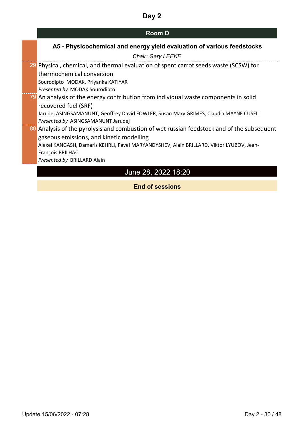## **Room D**

# **A5 - Physicochemical and energy yield evaluation of various feedstocks**

| <b>Chair: Gary LEEKE</b>                                                                   |
|--------------------------------------------------------------------------------------------|
| 29 Physical, chemical, and thermal evaluation of spent carrot seeds waste (SCSW) for       |
| thermochemical conversion                                                                  |
| Sourodipto MODAK, Priyanka KATIYAR                                                         |
| Presented by MODAK Sourodipto                                                              |
| 79 An analysis of the energy contribution from individual waste components in solid        |
| recovered fuel (SRF)                                                                       |
| Jarudej ASINGSAMANUNT, Geoffrey David FOWLER, Susan Mary GRIMES, Claudia MAYNE CUSELL      |
| Presented by ASINGSAMANUNT Jarudej                                                         |
| 80 Analysis of the pyrolysis and combustion of wet russian feedstock and of the subsequent |
| gaseous emissions, and kinetic modelling                                                   |
| Alexei KANGASH, Damaris KEHRLI, Pavel MARYANDYSHEV, Alain BRILLARD, Viktor LYUBOV, Jean-   |
| François BRILHAC                                                                           |
| Presented by BRILLARD Alain                                                                |
| June 28, 2022 18:20                                                                        |

**End of sessions**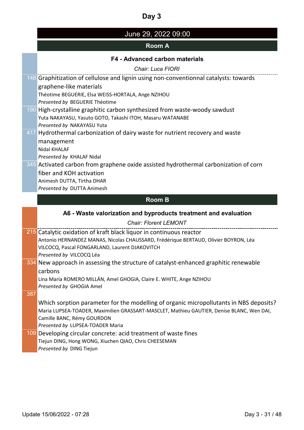# June 29, 2022 09:00

## **Room A**

#### **F4 - Advanced carbon materials**

*Chair: Luca FIORI*

|     | 148 Graphitization of cellulose and lignin using non-conventionnal catalysts: towards     |
|-----|-------------------------------------------------------------------------------------------|
|     | graphene-like materials                                                                   |
|     | Théotime BEGUERIE, Elsa WEISS-HORTALA, Ange NZIHOU                                        |
|     | Presented by BEGUERIE Théotime                                                            |
|     | 190 High-crystalline graphitic carbon synthesized from waste-woody sawdust                |
|     | Yuta NAKAYASU, Yasuto GOTO, Takashi ITOH, Masaru WATANABE                                 |
|     | Presented by NAKAYASU Yuta                                                                |
|     | 417 Hydrothermal carbonization of dairy waste for nutrient recovery and waste             |
|     | management                                                                                |
|     | <b>Nidal KHALAF</b>                                                                       |
|     | Presented by KHALAF Nidal                                                                 |
|     | 345 Activated carbon from graphene oxide assisted hydrothermal carbonization of corn      |
|     | fiber and KOH activation                                                                  |
|     | Animesh DUTTA, Tirtha DHAR                                                                |
|     | Presented by DUTTA Animesh                                                                |
|     |                                                                                           |
|     | <b>Room B</b>                                                                             |
|     |                                                                                           |
|     | A6 - Waste valorization and byproducts treatment and evaluation                           |
|     | <b>Chair: Florent LEMONT</b>                                                              |
|     | 215 Catalytic oxidation of kraft black liquor in continuous reactor                       |
|     | Antonio HERNANDEZ MANAS, Nicolas CHAUSSARD, Frédérique BERTAUD, Olivier BOYRON, Léa       |
|     | VILCOCQ, Pascal FONGARLAND, Laurent DJAKOVITCH                                            |
|     | Presented by VILCOCQ Léa                                                                  |
|     | 334 New approach in assessing the structure of catalyst-enhanced graphitic renewable      |
|     | carbons                                                                                   |
|     | Lina María ROMERO MILLÁN, Amel GHOGIA, Claire E. WHITE, Ange NZIHOU                       |
|     | Presented by GHOGIA Amel                                                                  |
| 387 |                                                                                           |
|     | Which sorption parameter for the modelling of organic micropollutants in NBS deposits?    |
|     | Maria LUPSEA-TOADER, Maximilien GRASSART-MASCLET, Mathieu GAUTIER, Denise BLANC, Wen DAI, |
|     | Camille BANC, Rémy GOURDON                                                                |
|     | Presented by LUPSEA-TOADER Maria                                                          |
|     | 109 Developing circular concrete: acid treatment of waste fines                           |
|     | Tiejun DING, Hong WONG, Xiuchen QIAO, Chris CHEESEMAN                                     |
|     | Presented by DING Tiejun                                                                  |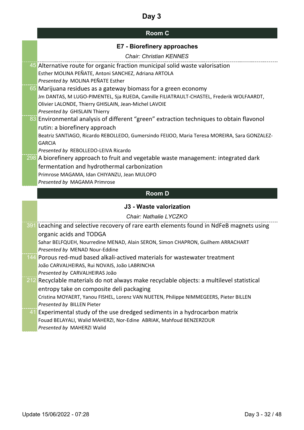# **Room C**

|     | E7 - Biorefinery approaches                                                                                                                                                                                                                         |
|-----|-----------------------------------------------------------------------------------------------------------------------------------------------------------------------------------------------------------------------------------------------------|
|     | <b>Chair: Christian KENNES</b>                                                                                                                                                                                                                      |
|     | 45 Alternative route for organic fraction municipal solid waste valorisation<br>Esther MOLINA PEÑATE, Antoni SANCHEZ, Adriana ARTOLA<br>Presented by MOLINA PEÑATE Esther                                                                           |
|     | 65 Marijuana residues as a gateway biomass for a green economy<br>Jm DANTAS, M LUGO-PIMENTEL, Sja RUEDA, Camille FILIATRAULT-CHASTEL, Frederik WOLFAARDT,<br>Olivier LALONDE, Thierry GHISLAIN, Jean-Michel LAVOIE<br>Presented by GHISLAIN Thierry |
|     | 83 Environmental analysis of different "green" extraction techniques to obtain flavonol<br>rutin: a biorefinery approach                                                                                                                            |
|     | Beatriz SANTIAGO, Ricardo REBOLLEDO, Gumersindo FEIJOO, Maria Teresa MOREIRA, Sara GONZALEZ-<br><b>GARCIA</b><br>Presented by REBOLLEDO-LEIVA Ricardo                                                                                               |
|     | 298 A biorefinery approach to fruit and vegetable waste management: integrated dark                                                                                                                                                                 |
|     | fermentation and hydrothermal carbonization                                                                                                                                                                                                         |
|     | Primrose MAGAMA, Idan CHIYANZU, Jean MULOPO                                                                                                                                                                                                         |
|     | Presented by MAGAMA Primrose                                                                                                                                                                                                                        |
|     |                                                                                                                                                                                                                                                     |
|     | <b>Room D</b>                                                                                                                                                                                                                                       |
|     | J3 - Waste valorization                                                                                                                                                                                                                             |
|     | Chair: Nathalie LYCZKO                                                                                                                                                                                                                              |
|     | 391 Leaching and selective recovery of rare earth elements found in NdFeB magnets using                                                                                                                                                             |
|     | organic acids and TODGA                                                                                                                                                                                                                             |
|     | Sahar BELFQUEH, Nourredine MENAD, Alain SERON, Simon CHAPRON, Guilhem ARRACHART                                                                                                                                                                     |
|     | Presented by MENAD Nour-Eddine                                                                                                                                                                                                                      |
| 144 | Porous red-mud based alkali-actived materials for wastewater treatment                                                                                                                                                                              |
|     | João CARVALHEIRAS, Rui NOVAIS, João LABRINCHA                                                                                                                                                                                                       |
|     | Presented by CARVALHEIRAS João<br>212 Recyclable materials do not always make recyclable objects: a multilevel statistical                                                                                                                          |
|     |                                                                                                                                                                                                                                                     |
|     | entropy take on composite deli packaging<br>Cristina MOYAERT, Yanou FISHEL, Lorenz VAN NUETEN, Philippe NIMMEGEERS, Pieter BILLEN                                                                                                                   |
|     | Presented by BILLEN Pieter                                                                                                                                                                                                                          |
| 41  | Experimental study of the use dredged sediments in a hydrocarbon matrix<br>Fouad BELAYALI, Walid MAHERZI, Nor-Edine ABRIAK, Mahfoud BENZERZOUR                                                                                                      |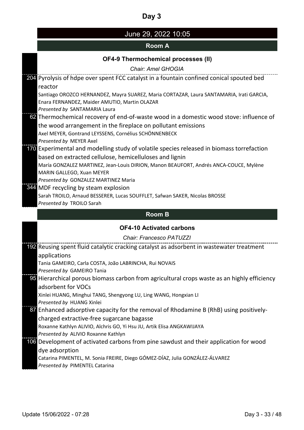# June 29, 2022 10:05

## **Room A**

# **OF4-9 Thermochemical processes (II)**

| OF4-9 THEITHOCHEITHCAL DIOCESSES (II)                                                     |
|-------------------------------------------------------------------------------------------|
| <b>Chair: Amel GHOGIA</b>                                                                 |
| 204 Pyrolysis of hdpe over spent FCC catalyst in a fountain confined conical spouted bed  |
| reactor                                                                                   |
| Santiago OROZCO HERNANDEZ, Mayra SUAREZ, Maria CORTAZAR, Laura SANTAMARIA, Irati GARCIA,  |
| Enara FERNANDEZ, Maider AMUTIO, Martin OLAZAR                                             |
| Presented by SANTAMARIA Laura                                                             |
| 62 Thermochemical recovery of end-of-waste wood in a domestic wood stove: influence of    |
| the wood arrangement in the fireplace on pollutant emissions                              |
| Axel MEYER, Gontrand LEYSSENS, Cornélius SCHÖNNENBECK                                     |
| Presented by MEYER Axel                                                                   |
| 170 Experimental and modelling study of volatile species released in biomass torrefaction |
| based on extracted cellulose, hemicelluloses and lignin                                   |
| María GONZALEZ MARTINEZ, Jean-Louis DIRION, Manon BEAUFORT, Andrés ANCA-COUCE, Mylène     |
| MARIN GALLEGO, Xuan MEYER                                                                 |
| Presented by GONZALEZ MARTINEZ Maria                                                      |
| 344 MDF recycling by steam explosion                                                      |
| Sarah TROILO, Arnaud BESSERER, Lucas SOUFFLET, Safwan SAKER, Nicolas BROSSE               |
| Presented by TROILO Sarah                                                                 |

### **Room B**

### **OF4-10 Activated carbons**

*Chair: Francesco PATUZZI*

| 192 Reusing spent fluid catalytic cracking catalyst as adsorbent in wastewater treatment    |
|---------------------------------------------------------------------------------------------|
| applications                                                                                |
| Tania GAMEIRO, Carla COSTA, João LABRINCHA, Rui NOVAIS                                      |
| Presented by GAMEIRO Tania                                                                  |
| 95 Hierarchical porous biomass carbon from agricultural crops waste as an highly efficiency |
| adsorbent for VOCs                                                                          |
| Xinlei HUANG, Minghui TANG, Shengyong LU, Ling WANG, Hongxian LI                            |
| Presented by HUANG Xinlei                                                                   |
| 87 Enhanced adsorptive capacity for the removal of Rhodamine B (RhB) using positively-      |
| charged extractive-free sugarcane bagasse                                                   |
| Roxanne Kathlyn ALIVIO, Alchris GO, Yi Hsu JU, Artik Elisa ANGKAWIJAYA                      |
| Presented by ALIVIO Roxanne Kathlyn                                                         |
| 106 Development of activated carbons from pine sawdust and their application for wood       |
| dye adsorption                                                                              |
| Catarina PIMENTEL, M. Sonia FREIRE, Diego GÓMEZ-DÍAZ, Julia GONZÁLEZ-ÁLVAREZ                |
| Presented by PIMENTEL Catarina                                                              |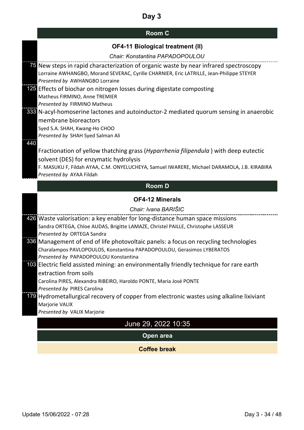# **Room C**

| <b>OF4-11 Biological treatment (II)</b> |  |
|-----------------------------------------|--|
|-----------------------------------------|--|

|     | solvent (DES) for enzymatic hydrolysis<br>F. MASUKU F, Fildah AYAA, C.M. ONYELUCHEYA, Samuel IWARERE, Michael DARAMOLA, J.B. KIRABIRA<br>Presented by AYAA Fildah<br><b>Room D</b><br><b>OF4-12 Minerals</b><br>Chair: Ivana BARIŠIC<br>426 Waste valorisation: a key enabler for long-distance human space missions<br>Sandra ORTEGA, Chloe AUDAS, Brigitte LAMAZE, Christel PAILLE, Christophe LASSEUR<br>Presented by ORTEGA Sandra<br>336 Management of end of life photovoltaic panels: a focus on recycling technologies<br>Charalampos PAVLOPOULOS, Konstantina PAPADOPOULOU, Gerasimos LYBERATOS<br>Presented by PAPADOPOULOU Konstantina<br>103 Electric field assisted mining: an environmentally friendly technique for rare earth<br>extraction from soils<br>Carolina PIRES, Alexandra RIBEIRO, Haroldo PONTE, Maria José PONTE<br>Presented by PIRES Carolina<br>179 Hydrometallurgical recovery of copper from electronic wastes using alkaline lixiviant<br>Marjorie VALIX<br>Presented by VALIX Marjorie<br>June 29, 2022 10:35<br>Open area |
|-----|---------------------------------------------------------------------------------------------------------------------------------------------------------------------------------------------------------------------------------------------------------------------------------------------------------------------------------------------------------------------------------------------------------------------------------------------------------------------------------------------------------------------------------------------------------------------------------------------------------------------------------------------------------------------------------------------------------------------------------------------------------------------------------------------------------------------------------------------------------------------------------------------------------------------------------------------------------------------------------------------------------------------------------------------------------------|
|     |                                                                                                                                                                                                                                                                                                                                                                                                                                                                                                                                                                                                                                                                                                                                                                                                                                                                                                                                                                                                                                                               |
|     |                                                                                                                                                                                                                                                                                                                                                                                                                                                                                                                                                                                                                                                                                                                                                                                                                                                                                                                                                                                                                                                               |
|     |                                                                                                                                                                                                                                                                                                                                                                                                                                                                                                                                                                                                                                                                                                                                                                                                                                                                                                                                                                                                                                                               |
|     |                                                                                                                                                                                                                                                                                                                                                                                                                                                                                                                                                                                                                                                                                                                                                                                                                                                                                                                                                                                                                                                               |
|     |                                                                                                                                                                                                                                                                                                                                                                                                                                                                                                                                                                                                                                                                                                                                                                                                                                                                                                                                                                                                                                                               |
|     |                                                                                                                                                                                                                                                                                                                                                                                                                                                                                                                                                                                                                                                                                                                                                                                                                                                                                                                                                                                                                                                               |
|     |                                                                                                                                                                                                                                                                                                                                                                                                                                                                                                                                                                                                                                                                                                                                                                                                                                                                                                                                                                                                                                                               |
|     |                                                                                                                                                                                                                                                                                                                                                                                                                                                                                                                                                                                                                                                                                                                                                                                                                                                                                                                                                                                                                                                               |
|     |                                                                                                                                                                                                                                                                                                                                                                                                                                                                                                                                                                                                                                                                                                                                                                                                                                                                                                                                                                                                                                                               |
|     |                                                                                                                                                                                                                                                                                                                                                                                                                                                                                                                                                                                                                                                                                                                                                                                                                                                                                                                                                                                                                                                               |
|     |                                                                                                                                                                                                                                                                                                                                                                                                                                                                                                                                                                                                                                                                                                                                                                                                                                                                                                                                                                                                                                                               |
|     |                                                                                                                                                                                                                                                                                                                                                                                                                                                                                                                                                                                                                                                                                                                                                                                                                                                                                                                                                                                                                                                               |
|     |                                                                                                                                                                                                                                                                                                                                                                                                                                                                                                                                                                                                                                                                                                                                                                                                                                                                                                                                                                                                                                                               |
|     |                                                                                                                                                                                                                                                                                                                                                                                                                                                                                                                                                                                                                                                                                                                                                                                                                                                                                                                                                                                                                                                               |
|     |                                                                                                                                                                                                                                                                                                                                                                                                                                                                                                                                                                                                                                                                                                                                                                                                                                                                                                                                                                                                                                                               |
|     |                                                                                                                                                                                                                                                                                                                                                                                                                                                                                                                                                                                                                                                                                                                                                                                                                                                                                                                                                                                                                                                               |
|     |                                                                                                                                                                                                                                                                                                                                                                                                                                                                                                                                                                                                                                                                                                                                                                                                                                                                                                                                                                                                                                                               |
|     |                                                                                                                                                                                                                                                                                                                                                                                                                                                                                                                                                                                                                                                                                                                                                                                                                                                                                                                                                                                                                                                               |
|     | Fractionation of yellow thatching grass (Hyparrhenia filipendula) with deep eutectic                                                                                                                                                                                                                                                                                                                                                                                                                                                                                                                                                                                                                                                                                                                                                                                                                                                                                                                                                                          |
| 440 |                                                                                                                                                                                                                                                                                                                                                                                                                                                                                                                                                                                                                                                                                                                                                                                                                                                                                                                                                                                                                                                               |
|     | Presented by SHAH Syed Salman Ali                                                                                                                                                                                                                                                                                                                                                                                                                                                                                                                                                                                                                                                                                                                                                                                                                                                                                                                                                                                                                             |
|     | Syed S.A. SHAH, Kwang-Ho CHOO                                                                                                                                                                                                                                                                                                                                                                                                                                                                                                                                                                                                                                                                                                                                                                                                                                                                                                                                                                                                                                 |
|     | membrane bioreactors                                                                                                                                                                                                                                                                                                                                                                                                                                                                                                                                                                                                                                                                                                                                                                                                                                                                                                                                                                                                                                          |
|     | Presented by FIRMINO Matheus<br>333 N-acyl-homoserine lactones and autoinductor-2 mediated quorum sensing in anaerobic                                                                                                                                                                                                                                                                                                                                                                                                                                                                                                                                                                                                                                                                                                                                                                                                                                                                                                                                        |
|     | Matheus FIRMINO, Anne TREMIER                                                                                                                                                                                                                                                                                                                                                                                                                                                                                                                                                                                                                                                                                                                                                                                                                                                                                                                                                                                                                                 |
|     | 125 Effects of biochar on nitrogen losses during digestate composting                                                                                                                                                                                                                                                                                                                                                                                                                                                                                                                                                                                                                                                                                                                                                                                                                                                                                                                                                                                         |
|     | Presented by AWHANGBO Lorraine                                                                                                                                                                                                                                                                                                                                                                                                                                                                                                                                                                                                                                                                                                                                                                                                                                                                                                                                                                                                                                |
|     | Lorraine AWHANGBO, Morand SEVERAC, Cyrille CHARNIER, Eric LATRILLE, Jean-Philippe STEYER                                                                                                                                                                                                                                                                                                                                                                                                                                                                                                                                                                                                                                                                                                                                                                                                                                                                                                                                                                      |
|     | Chair: Konstantina PAPADOPOULOU<br>75 New steps in rapid characterization of organic waste by near infrared spectroscopy                                                                                                                                                                                                                                                                                                                                                                                                                                                                                                                                                                                                                                                                                                                                                                                                                                                                                                                                      |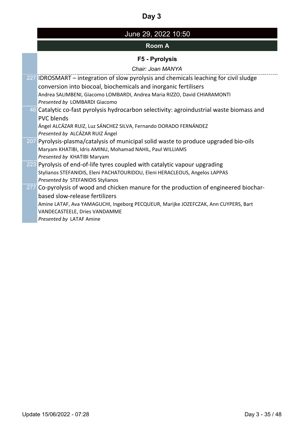| June 29, 2022 10:50 |
|---------------------|
|---------------------|

# **Room A**

# **F5 - Pyrolysis**

*Chair: Joan MANYA*

| 227 <b>IDROSMART</b> – integration of slow pyrolysis and chemicals leaching for civil sludge |
|----------------------------------------------------------------------------------------------|
| conversion into biocoal, biochemicals and inorganic fertilisers                              |
| Andrea SALIMBENI, Giacomo LOMBARDI, Andrea Maria RIZZO, David CHIARAMONTI                    |
| Presented by LOMBARDI Giacomo                                                                |
| 46 Catalytic co-fast pyrolysis hydrocarbon selectivity: agroindustrial waste biomass and     |
| <b>PVC blends</b>                                                                            |
| Ángel ALCÁZAR RUIZ, Luz SÁNCHEZ SILVA, Fernando DORADO FERNÁNDEZ                             |
| Presented by ALCÁZAR RUIZ Ángel                                                              |
| 207 Pyrolysis-plasma/catalysis of municipal solid waste to produce upgraded bio-oils         |
| Maryam KHATIBI, Idris AMINU, Mohamad NAHIL, Paul WILLIAMS                                    |
| Presented by KHATIBI Maryam                                                                  |
| 223 Pyrolysis of end-of-life tyres coupled with catalytic vapour upgrading                   |
| Stylianos STEFANIDIS, Eleni PACHATOURIDOU, Eleni HERACLEOUS, Angelos LAPPAS                  |
| Presented by STEFANIDIS Stylianos                                                            |
| 277 Co-pyrolysis of wood and chicken manure for the production of engineered biochar-        |
| based slow-release fertilizers                                                               |
| Amine LATAF, Ava YAMAGUCHI, Ingeborg PECQUEUR, Marijke JOZEFCZAK, Ann CUYPERS, Bart          |
| VANDECASTEELE, Dries VANDAMME                                                                |
| Presented by LATAF Amine                                                                     |
|                                                                                              |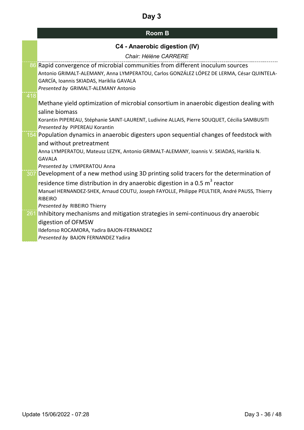| <b>Room B</b> |  |
|---------------|--|
|---------------|--|

|     | C4 - Anaerobic digestion (IV)                                                                                                                                                                                                                                                                                                        |
|-----|--------------------------------------------------------------------------------------------------------------------------------------------------------------------------------------------------------------------------------------------------------------------------------------------------------------------------------------|
|     | Chair: Hélène CARRERE                                                                                                                                                                                                                                                                                                                |
| 418 | 86 Rapid convergence of microbial communities from different inoculum sources<br>Antonio GRIMALT-ALEMANY, Anna LYMPERATOU, Carlos GONZÁLEZ LÓPEZ DE LERMA, César QUINTELA-<br>GARCÍA, Ioannis SKIADAS, Hariklia GAVALA<br>Presented by GRIMALT-ALEMANY Antonio                                                                       |
|     | Methane yield optimization of microbial consortium in anaerobic digestion dealing with<br>saline biomass<br>Korantin PIPEREAU, Stéphanie SAINT-LAURENT, Ludivine ALLAIS, Pierre SOUQUET, Cécilia SAMBUSITI<br>Presented by PIPEREAU Korantin                                                                                         |
|     | 154 Population dynamics in anaerobic digesters upon sequential changes of feedstock with<br>and without pretreatment<br>Anna LYMPERATOU, Mateusz LEZYK, Antonio GRIMALT-ALEMANY, Ioannis V. SKIADAS, Hariklia N.<br><b>GAVALA</b><br>Presented by LYMPERATOU Anna                                                                    |
|     | 307 Development of a new method using 3D printing solid tracers for the determination of<br>residence time distribution in dry anaerobic digestion in a 0.5 m <sup>3</sup> reactor<br>Manuel HERNANDEZ-SHEK, Arnaud COUTU, Joseph FAYOLLE, Philippe PEULTIER, André PAUSS, Thierry<br><b>RIBEIRO</b><br>Presented by RIBEIRO Thierry |
| 261 | Inhibitory mechanisms and mitigation strategies in semi-continuous dry anaerobic<br>digestion of OFMSW<br>Ildefonso ROCAMORA, Yadira BAJON-FERNANDEZ<br>Presented by BAJON FERNANDEZ Yadira                                                                                                                                          |
|     |                                                                                                                                                                                                                                                                                                                                      |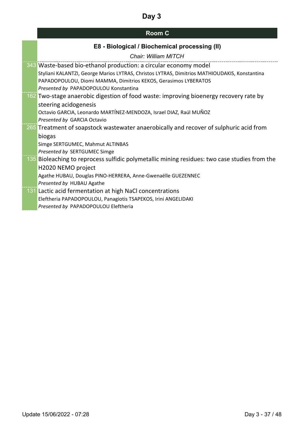# **Room C**

|  |  |  | E8 - Biological / Biochemical processing (II) |  |
|--|--|--|-----------------------------------------------|--|
|--|--|--|-----------------------------------------------|--|

|     | Chair: William MITCH                                                                          |
|-----|-----------------------------------------------------------------------------------------------|
|     | 343 Waste-based bio-ethanol production: a circular economy model                              |
|     | Styliani KALANTZI, George Marios LYTRAS, Christos LYTRAS, Dimitrios MATHIOUDAKIS, Konstantina |
|     | PAPADOPOULOU, Diomi MAMMA, Dimitrios KEKOS, Gerasimos LYBERATOS                               |
|     | Presented by PAPADOPOULOU Konstantina                                                         |
|     | 162 Two-stage anaerobic digestion of food waste: improving bioenergy recovery rate by         |
|     | steering acidogenesis                                                                         |
|     | Octavio GARCIA, Leonardo MARTÍNEZ-MENDOZA, Israel DIAZ, Raúl MUÑOZ                            |
|     | Presented by GARCIA Octavio                                                                   |
|     | 265 Treatment of soapstock wastewater anaerobically and recover of sulphuric acid from        |
|     | biogas                                                                                        |
|     | Simge SERTGUMEC, Mahmut ALTINBAS                                                              |
|     | Presented by SERTGUMEC Simge                                                                  |
|     | 135 Bioleaching to reprocess sulfidic polymetallic mining residues: two case studies from the |
|     | H2020 NEMO project                                                                            |
|     | Agathe HUBAU, Douglas PINO-HERRERA, Anne-Gwenaëlle GUEZENNEC                                  |
|     | Presented by HUBAU Agathe                                                                     |
| 131 | Lactic acid fermentation at high NaCl concentrations                                          |
|     | Eleftheria PAPADOPOULOU, Panagiotis TSAPEKOS, Irini ANGELIDAKI                                |
|     | Presented by PAPADOPOULOU Eleftheria                                                          |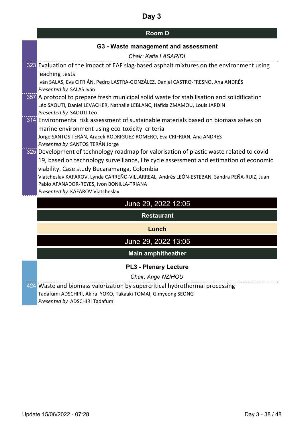## **Room D**

### **G3 - Waste management and assessment**

| Chair: Katia LASARIDI                                                                                                                       |
|---------------------------------------------------------------------------------------------------------------------------------------------|
| 323 Evaluation of the impact of EAF slag-based asphalt mixtures on the environment using                                                    |
| leaching tests                                                                                                                              |
| Iván SALAS, Eva CIFRIÁN, Pedro LASTRA-GONZÁLEZ, Daniel CASTRO-FRESNO, Ana ANDRÉS                                                            |
| Presented by SALAS Iván                                                                                                                     |
| 357 A protocol to prepare fresh municipal solid waste for stabilisation and solidification                                                  |
| Léo SAOUTI, Daniel LEVACHER, Nathalie LEBLANC, Hafida ZMAMOU, Louis JARDIN                                                                  |
| Presented by SAOUTI Léo                                                                                                                     |
| 314 Environmental risk assessment of sustainable materials based on biomass ashes on                                                        |
| marine environment using eco-toxicity criteria                                                                                              |
| Jorge SANTOS TERÁN, Araceli RODRIGUEZ-ROMERO, Eva CRIFRIAN, Ana ANDRES                                                                      |
| Presented by SANTOS TERÁN Jorge<br>325 Development of technology roadmap for valorisation of plastic waste related to covid-                |
| 19, based on technology surveillance, life cycle assessment and estimation of economic                                                      |
| viability. Case study Bucaramanga, Colombia                                                                                                 |
| Viatcheslav KAFAROV, Lynda CARREÑO-VILLARREAL, Andrés LEÓN-ESTEBAN, Sandra PEÑA-RUIZ, Juan                                                  |
| Pablo AFANADOR-REYES, Ivon BONILLA-TRIANA                                                                                                   |
| Presented by KAFAROV Viatcheslav                                                                                                            |
|                                                                                                                                             |
| June 29, 2022 12:05                                                                                                                         |
| <b>Restaurant</b>                                                                                                                           |
| Lunch                                                                                                                                       |
| June 29, 2022 13:05                                                                                                                         |
|                                                                                                                                             |
| <b>Main amphitheather</b>                                                                                                                   |
| <b>PL3 - Plenary Lecture</b>                                                                                                                |
|                                                                                                                                             |
| Chair: Ange NZIHOU                                                                                                                          |
| 424 Waste and biomass valorization by supercritical hydrothermal processing<br>Tadafumi ADSCHIRI, Akira YOKO, Takaaki TOMAI, Gimyeong SEONG |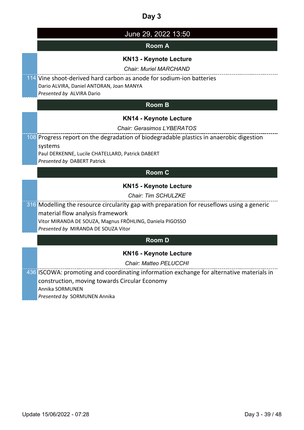| June 29, 2022 13:50                                                                             |
|-------------------------------------------------------------------------------------------------|
| <b>Room A</b>                                                                                   |
| <b>KN13 - Keynote Lecture</b>                                                                   |
| <b>Chair: Muriel MARCHAND</b>                                                                   |
| 114 Vine shoot-derived hard carbon as anode for sodium-ion batteries                            |
| Dario ALVIRA, Daniel ANTORAN, Joan MANYA<br>Presented by ALVIRA Dario                           |
| <b>Room B</b>                                                                                   |
| <b>KN14 - Keynote Lecture</b>                                                                   |
| Chair: Gerasimos LYBERATOS                                                                      |
| 108 Progress report on the degradation of biodegradable plastics in anaerobic digestion         |
| systems                                                                                         |
| Paul DERKENNE, Lucile CHATELLARD, Patrick DABERT<br>Presented by DABERT Patrick                 |
| <b>Room C</b>                                                                                   |
| <b>KN15 - Keynote Lecture</b>                                                                   |
| <b>Chair: Tim SCHULZKE</b>                                                                      |
| 316 Modelling the resource circularity gap with preparation for reuseflows using a generic      |
| material flow analysis framework                                                                |
| Vitor MIRANDA DE SOUZA, Magnus FRÖHLING, Daniela PIGOSSO<br>Presented by MIRANDA DE SOUZA Vitor |
|                                                                                                 |
| <b>Room D</b>                                                                                   |
| KN16 - Keynote Lecture                                                                          |
| <b>Chair: Matteo PELUCCHI</b>                                                                   |
| 436 ISCOWA: promoting and coordinating information exchange for alternative materials in        |
| construction, moving towards Circular Economy<br>Annika SORMUNEN                                |
|                                                                                                 |

*Presented by* SORMUNEN Annika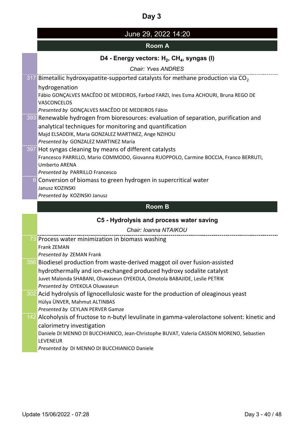# June 29, 2022 14:20

## **Room A**

## D4 - Energy vectors: H<sub>2</sub>, CH<sub>4</sub>, syngas (I)

*Chair: Yves ANDRES*

| 317 Bimetallic hydroxyapatite-supported catalysts for methane production via $CO2$            |
|-----------------------------------------------------------------------------------------------|
| hydrogenation                                                                                 |
| Fábio GONÇALVES MACÊDO DE MEDEIROS, Farbod FARZI, Ines Esma ACHOURI, Bruna REGO DE            |
| <b>VASCONCELOS</b>                                                                            |
| Presented by GONÇALVES MACÊDO DE MEDEIROS Fábio                                               |
| 393 Renewable hydrogen from bioresources: evaluation of separation, purification and          |
| analytical techniques for monitoring and quantification                                       |
| Majd ELSADDIK, Maria GONZALEZ MARTINEZ, Ange NZIHOU                                           |
| Presented by GONZALEZ MARTINEZ Maria                                                          |
| 397 Hot syngas cleaning by means of different catalysts                                       |
| Francesco PARRILLO, Mario COMMODO, Giovanna RUOPPOLO, Carmine BOCCIA, Franco BERRUTI,         |
| <b>Umberto ARENA</b>                                                                          |
| Presented by PARRILLO Francesco                                                               |
| 6 Conversion of biomass to green hydrogen in supercritical water<br>Janusz KOZINSKI           |
| Presented by KOZINSKI Janusz                                                                  |
|                                                                                               |
| <b>Room B</b>                                                                                 |
|                                                                                               |
| C5 - Hydrolysis and process water saving                                                      |
| Chair: Ioanna NTAIKOU                                                                         |
| 73 Process water minimization in biomass washing                                              |
| Frank ZEMAN                                                                                   |
| Presented by ZEMAN Frank                                                                      |
| 386 Biodiesel production from waste-derived maggot oil over fusion-assisted                   |
| hydrothermally and ion-exchanged produced hydroxy sodalite catalyst                           |
| Juvet Malonda SHABANI, Oluwaseun OYEKOLA, Omotola BABAJIDE, Leslie PETRIK                     |
| Presented by OYEKOLA Oluwaseun                                                                |
| 302 Acid hydrolysis of lignocellulosic waste for the production of oleaginous yeast           |
| Hülya ÜNVER, Mahmut ALTINBAS                                                                  |
| Presented by CEYLAN PERVER Gamze                                                              |
| 142 Alcoholysis of fructose to n-butyl levulinate in gamma-valerolactone solvent: kinetic and |
| calorimetry investigation                                                                     |
| Daniele DI MENNO DI BUCCHIANICO, Jean-Christophe BUVAT, Valeria CASSON MORENO, Sebastien      |
| <b>LEVENEUR</b><br>Presented by DI MENNO DI BUCCHIANICO Daniele                               |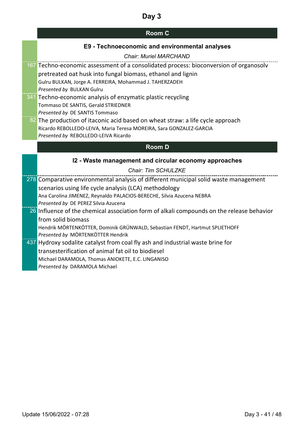### **Room C**

### **E9 - Technoeconomic and environmental analyses**

#### *Chair: Muriel MARCHAND*

- 167 Techno-economic assessment of a consolidated process: bioconversion of organosolv pretreated oat husk into fungal biomass, ethanol and lignin Gulru BULKAN, Jorge A. FERREIRA, Mohammad J. TAHERZADEH *Presented by* BULKAN Gulru
- 341 Techno-economic analysis of enzymatic plastic recycling Tommaso DE SANTIS, Gerald STRIEDNER *Presented by* DE SANTIS Tommaso
- 82 The production of itaconic acid based on wheat straw: a life cycle approach Ricardo REBOLLEDO-LEIVA, Maria Teresa MOREIRA, Sara GONZALEZ-GARCIA *Presented by* REBOLLEDO-LEIVA Ricardo

#### **Room D**

#### **I2 - Waste management and circular economy approaches**

#### *Chair: Tim SCHULZKE*

278 Comparative environmental analysis of different municipal solid waste management scenarios using life cycle analysis (LCA) methodology Ana Carolina JIMENEZ, Reynaldo PALACIOS-BERECHE, Silvia Azucena NEBRA *Presented by* DE PEREZ Silvia Azucena 26 Influence of the chemical association form of alkali compounds on the release behavior from solid biomass Hendrik MÖRTENKÖTTER, Dominik GRÜNWALD, Sebastian FENDT, Hartmut SPLIETHOFF *Presented by* MÖRTENKÖTTER Hendrik 437 Hydroxy sodalite catalyst from coal fly ash and industrial waste brine for transesterification of animal fat oil to biodiesel Michael DARAMOLA, Thomas ANIOKETE, E.C. LINGANISO

*Presented by* DARAMOLA Michael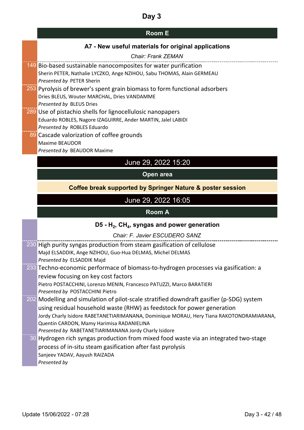# **Room E**

## **A7 - New useful materials for original applications**

| <b>Chair: Frank ZEMAN</b>                                                                                                           |
|-------------------------------------------------------------------------------------------------------------------------------------|
| 149 Bio-based sustainable nanocomposites for water purification                                                                     |
| Sherin PETER, Nathalie LYCZKO, Ange NZIHOU, Sabu THOMAS, Alain GERMEAU                                                              |
| Presented by PETER Sherin                                                                                                           |
| 253 Pyrolysis of brewer's spent grain biomass to form functional adsorbers                                                          |
| Dries BLEUS, Wouter MARCHAL, Dries VANDAMME                                                                                         |
| Presented by BLEUS Dries                                                                                                            |
| 289 Use of pistachio shells for lignocellulosic nanopapers<br>Eduardo ROBLES, Nagore IZAGUIRRE, Ander MARTIN, Jalel LABIDI          |
| Presented by ROBLES Eduardo                                                                                                         |
| 89 Cascade valorization of coffee grounds                                                                                           |
| Maxime BEAUDOR                                                                                                                      |
| Presented by BEAUDOR Maxime                                                                                                         |
|                                                                                                                                     |
| June 29, 2022 15:20                                                                                                                 |
| Open area                                                                                                                           |
| Coffee break supported by Springer Nature & poster session                                                                          |
| June 29, 2022 16:05                                                                                                                 |
|                                                                                                                                     |
| <b>Room A</b>                                                                                                                       |
| D5 - $H_2$ , CH <sub>4</sub> , syngas and power generation                                                                          |
| Chair: F. Javier ESCUDERO SANZ                                                                                                      |
|                                                                                                                                     |
| 230 High purity syngas production from steam gasification of cellulose<br>Majd ELSADDIK, Ange NZIHOU, Guo-Hua DELMAS, Michel DELMAS |
| Presented by ELSADDIK Majd                                                                                                          |
| 233 Techno-economic performace of biomass-to-hydrogen processes via gasification: a                                                 |
| review focusing on key cost factors                                                                                                 |
| Pietro POSTACCHINI, Lorenzo MENIN, Francesco PATUZZI, Marco BARATIERI                                                               |
| Presented by POSTACCHINI Pietro                                                                                                     |
| 202 Modelling and simulation of pilot-scale stratified downdraft gasifier (p-SDG) system                                            |
| using residual household waste (RHW) as feedstock for power generation                                                              |
| Jordy Charly Isidore RABETANETIARIMANANA, Dominique MORAU, Hery Tiana RAKOTONDRAMIARANA,                                            |
| Quentin CARDON, Mamy Harimisa RADANIELINA                                                                                           |
| Presented by RABETANETIARIMANANA Jordy Charly Isidore                                                                               |
| 30 Hydrogen rich syngas production from mixed food waste via an integrated two-stage                                                |
| process of in-situ steam gasification after fast pyrolysis<br>Sanjeev YADAV, Aayush RAIZADA                                         |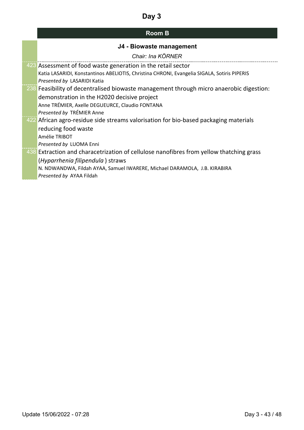| <b>Room B</b> |  |
|---------------|--|
|---------------|--|

| J4 - Biowaste management                                                                    |
|---------------------------------------------------------------------------------------------|
| Chair: Ina KÖRNER                                                                           |
| 423 Assessment of food waste generation in the retail sector                                |
| Katia LASARIDI, Konstantinos ABELIOTIS, Christina CHRONI, Evangelia SIGALA, Sotiris PIPERIS |
| Presented by LASARIDI Katia                                                                 |
| 238 Feasibility of decentralised biowaste management through micro anaerobic digestion:     |
| demonstration in the H2020 decisive project                                                 |
| Anne TRÉMIER, Axelle DEGUEURCE, Claudio FONTANA                                             |
| Presented by TRÉMIER Anne                                                                   |
| 422 African agro-residue side streams valorisation for bio-based packaging materials        |
| reducing food waste                                                                         |
| Amélie TRIBOT                                                                               |
| Presented by LUOMA Enni                                                                     |
| 438 Extraction and characetrization of cellulose nanofibres from yellow thatching grass     |
| (Hyparrhenia filipendula) straws                                                            |
| N. NDWANDWA, Fildah AYAA, Samuel IWARERE, Michael DARAMOLA, J.B. KIRABIRA                   |
| Presented by AYAA Fildah                                                                    |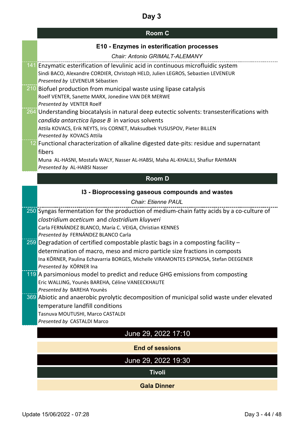### **Room C**

| E10 - Enzymes in esterification processes<br>Chair: Antonio GRIMALT-ALEMANY                                         |
|---------------------------------------------------------------------------------------------------------------------|
|                                                                                                                     |
| 141 Enzymatic esterification of levulinic acid in continuous microfluidic system                                    |
| Sindi BACO, Alexandre CORDIER, Christoph HELD, Julien LEGROS, Sebastien LEVENEUR<br>Presented by LEVENEUR Sébastien |
| 210 Biofuel production from municipal waste using lipase catalysis                                                  |
| Roelf VENTER, Sanette MARX, Jonedine VAN DER MERWE                                                                  |
| Presented by VENTER Roelf                                                                                           |
| 264 Understanding biocatalysis in natural deep eutectic solvents: transesterifications with                         |
| candida antarctica lipase B in various solvents                                                                     |
| Attila KOVACS, Erik NEYTS, Iris CORNET, Maksudbek YUSUSPOV, Pieter BILLEN                                           |
| Presented by KOVACS Attila                                                                                          |
| 12 Functional characterization of alkaline digested date-pits: residue and supernatant                              |
| fibers                                                                                                              |
| Muna AL-HASNI, Mostafa WALY, Nasser AL-HABSI, Maha AL-KHALILI, Shafiur RAHMAN                                       |
| Presented by AL-HABSI Nasser                                                                                        |
| <b>Room D</b>                                                                                                       |
| 13 - Bioprocessing gaseous compounds and wastes                                                                     |
| <b>Chair: Etienne PAUL</b>                                                                                          |
| 250 Syngas fermentation for the production of medium-chain fatty acids by a co-culture of                           |
| clostridium aceticum and clostridium kluyveri                                                                       |
| Carla FERNÁNDEZ BLANCO, María C. VEIGA, Christian KENNES                                                            |
| Presented by FERNÁNDEZ BLANCO Carla                                                                                 |
| 259 Degradation of certified compostable plastic bags in a composting facility -                                    |
| determination of macro, meso and micro particle size fractions in composts                                          |
| Ina KÖRNER, Paulina Echavarria BORGES, Michelle VIRAMONTES ESPINOSA, Stefan DEEGENER                                |
| Presented by KÖRNER Ina                                                                                             |

- $\frac{1119}{119}$  A parsimonious model to predict and reduce GHG emissions from composting Eric WALLING, Younès BAREHA, Céline VANEECKHAUTE *Presented by* BAREHA Younès
- **369** Abiotic and anaerobic pyrolytic decomposition of municipal solid waste under elevated temperature landfill conditions Tasnuva MOUTUSHI, Marco CASTALDI *Presented by* CASTALDI Marco

## June 29, 2022 17:10

#### **End of sessions**

June 29, 2022 19:30

**Tivoli**

#### **Gala Dinner**

. . . . . . . . . . .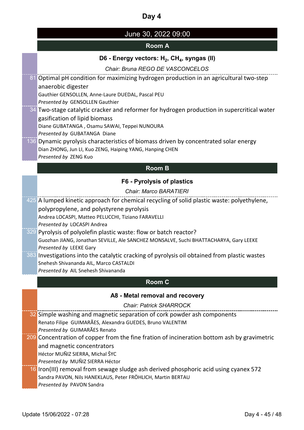# June 30, 2022 09:00

### **Room A**

#### D6 - Energy vectors: H<sub>2</sub>, CH<sub>4</sub>, syngas (II)

*Chair: Bruna REGO DE VASCONCELOS*

81 Optimal pH condition for maximizing hydrogen production in an agricultural two-step anaerobic digester Gauthier GENSOLLEN, Anne-Laure DUEDAL, Pascal PEU *Presented by* GENSOLLEN Gauthier 34 Two-stage catalytic cracker and reformer for hydrogen production in supercritical water gasification of lipid biomass Diane GUBATANGA , Osamu SAWAI, Teppei NUNOURA *Presented by* GUBATANGA Diane 136 Dynamic pyrolysis characteristics of biomass driven by concentrated solar energy Dian ZHONG, Jun LI, Kuo ZENG, Haiping YANG, Hanping CHEN *Presented by* ZENG Kuo **Room B F6 - Pyrolysis of plastics** *Chair: Marco BARATIERI* 425 A lumped kinetic approach for chemical recycling of solid plastic waste: polyethylene, polypropylene, and polystyrene pyrolysis Andrea LOCASPI, Matteo PELUCCHI, Tiziano FARAVELLI *Presented by* LOCASPI Andrea 329 Pyrolysis of polyolefin plastic waste: flow or batch reactor? Guozhan JIANG, Jonathan SEVILLE, Ale SANCHEZ MONSALVE, Suchi BHATTACHARYA, Gary LEEKE *Presented by* LEEKE Gary 383 Investigations into the catalytic cracking of pyrolysis oil obtained from plastic wastes Snehesh Shivananda AIL, Marco CASTALDI *Presented by* AIL Snehesh Shivananda **Room C A8 - Metal removal and recovery** *Chair: Patrick SHARROCK* 32 Simple washing and magnetic separation of cork powder ash components Renato Filipe GUIMARÃES, Alexandra GUEDES, Bruno VALENTIM *Presented by* GUIMARÃES Renato 209 Concentration of copper from the fine fration of incineration bottom ash by gravimetric and magnetic concentrators Héctor MUÑIZ SIERRA, Michal ŠYC *Presented by* MUÑIZ SIERRA Héctor 16 Iron(III) removal from sewage sludge ash derived phosphoric acid using cyanex 572 Sandra PAVON, Nils HANEKLAUS, Peter FRÖHLICH, Martin BERTAU *Presented by* PAVON Sandra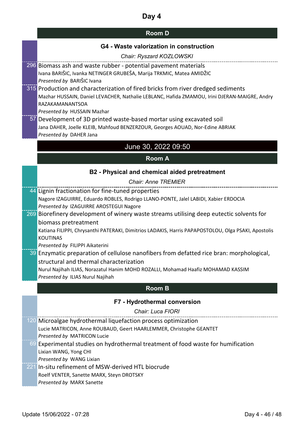### **Room D**

#### **G4 - Waste valorization in construction**

| Chair: Ryszard KOZLOWSKI                                                         |
|----------------------------------------------------------------------------------|
| 296 Biomass ash and waste rubber - potential pavement materials                  |
| Ivana BARIŠIC, Ivanka NETINGER GRUBEŠA, Marija TRKMIC, Matea AMIDŽIC             |
| Presented by BARIŠIC Ivana                                                       |
| 315 Production and characterization of fired bricks from river dredged sediments |
|                                                                                  |

Mazhar HUSSAIN, Daniel LEVACHER, Nathalie LEBLANC, Hafida ZMAMOU, Irini DJERAN-MAIGRE, Andry RAZAKAMANANTSOA

*Presented by* HUSSAIN Mazhar

57 Development of 3D printed waste-based mortar using excavated soil Jana DAHER, Joelle KLEIB, Mahfoud BENZERZOUR, Georges AOUAD, Nor-Edine ABRIAK *Presented by* DAHER Jana

### June 30, 2022 09:50

#### **Room A**

#### **B2 - Physical and chemical aided pretreatment**

*Chair: Anne TREMIER*

44 Lignin fractionation for fine-tuned properties Nagore IZAGUIRRE, Eduardo ROBLES, Rodrigo LLANO-PONTE, Jalel LABIDI, Xabier ERDOCIA *Presented by* IZAGUIRRE AROSTEGUI Nagore

#### 269 Biorefinery development of winery waste streams utilising deep eutectic solvents for biomass pretreatment

Katiana FILIPPI, Chrysanthi PATERAKI, Dimitrios LADAKIS, Harris PAPAPOSTOLOU, Olga PSAKI, Apostolis KOUTINAS

*Presented by* FILIPPI Aikaterini

39 Enzymatic preparation of cellulose nanofibers from defatted rice bran: morphological, structural and thermal characterization

Nurul Najihah ILIAS, Norazatul Hanim MOHD ROZALLI, Mohamad Haafiz MOHAMAD KASSIM *Presented by* ILIAS Nurul Najihah

#### **Room B**

#### **F7 - Hydrothermal conversion**

*Chair: Luca FIORI*

- 120 Microalgae hydrothermal liquefaction process optimization Lucie MATRICON, Anne ROUBAUD, Geert HAARLEMMER, Christophe GEANTET *Presented by* MATRICON Lucie 69 Experimental studies on hydrothermal treatment of food waste for humification Lixian WANG, Yong CHI *Presented by* WANG Lixian 221 In-situ refinement of MSW-derived HTL biocrude
- Roelf VENTER, Sanette MARX, Steyn DROTSKY *Presented by* MARX Sanette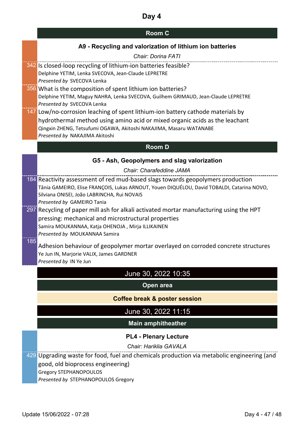| <b>Room C</b> |  |
|---------------|--|
|---------------|--|

### **A9 - Recycling and valorization of lithium ion batteries**

|     | $1100,0000$ $111,0000$ $1100,0000$ $1100,0000$                                                                                            |  |
|-----|-------------------------------------------------------------------------------------------------------------------------------------------|--|
|     | <b>Chair: Dorina FATI</b>                                                                                                                 |  |
|     | 342 Is closed-loop recycling of lithium-ion batteries feasible?                                                                           |  |
|     | Delphine YETIM, Lenka SVECOVA, Jean-Claude LEPRETRE                                                                                       |  |
|     | Presented by SVECOVA Lenka                                                                                                                |  |
|     | 356 What is the composition of spent lithium ion batteries?                                                                               |  |
|     | Delphine YETIM, Maguy NAHRA, Lenka SVECOVA, Guilhem GRIMAUD, Jean-Claude LEPRETRE<br>Presented by SVECOVA Lenka                           |  |
|     | 147 Low/no-corrosion leaching of spent lithium-ion battery cathode materials by                                                           |  |
|     | hydrothermal method using amino acid or mixed organic acids as the leachant                                                               |  |
|     | Qingxin ZHENG, Tetsufumi OGAWA, Akitoshi NAKAJIMA, Masaru WATANABE                                                                        |  |
|     | Presented by NAKAJIMA Akitoshi                                                                                                            |  |
|     | <b>Room D</b>                                                                                                                             |  |
|     |                                                                                                                                           |  |
|     | G5 - Ash, Geopolymers and slag valorization                                                                                               |  |
|     | Chair: Charafeddine JAMA                                                                                                                  |  |
|     | 184 Reactivity assessment of red mud-based slags towards geopolymers production                                                           |  |
|     | Tânia GAMEIRO, Elise FRANÇOIS, Lukas ARNOUT, Youen DIQUÉLOU, David TOBALDI, Catarina NOVO,<br>Silviana ONISEI, João LABRINCHA, Rui NOVAIS |  |
|     | Presented by GAMEIRO Tania                                                                                                                |  |
|     | 297 Recycling of paper mill ash for alkali activated mortar manufacturing using the HPT                                                   |  |
|     | pressing: mechanical and microstructural properties                                                                                       |  |
|     | Samira MOUKANNAA, Katja OHENOJA, Mirja ILLIKAINEN                                                                                         |  |
|     | Presented by MOUKANNAA Samira                                                                                                             |  |
| 185 | Adhesion behaviour of geopolymer mortar overlayed on corroded concrete structures                                                         |  |
|     | Ye Jun IN, Marjorie VALIX, James GARDNER                                                                                                  |  |
|     | Presented by IN Ye Jun                                                                                                                    |  |
|     | June 30, 2022 10:35                                                                                                                       |  |
|     | Open area                                                                                                                                 |  |
|     | <b>Coffee break &amp; poster session</b>                                                                                                  |  |
|     | June 30, 2022 11:15                                                                                                                       |  |
|     | <b>Main amphitheather</b>                                                                                                                 |  |
|     | <b>PL4 - Plenary Lecture</b>                                                                                                              |  |
|     | Chair: Hariklia GAVALA                                                                                                                    |  |
|     | 429 Upgrading waste for food, fuel and chemicals production via metabolic engineering (and                                                |  |
|     | good, old bioprocess engineering)                                                                                                         |  |
|     | <b>Gregory STEPHANOPOULOS</b>                                                                                                             |  |
|     | Presented by STEPHANOPOULOS Gregory                                                                                                       |  |